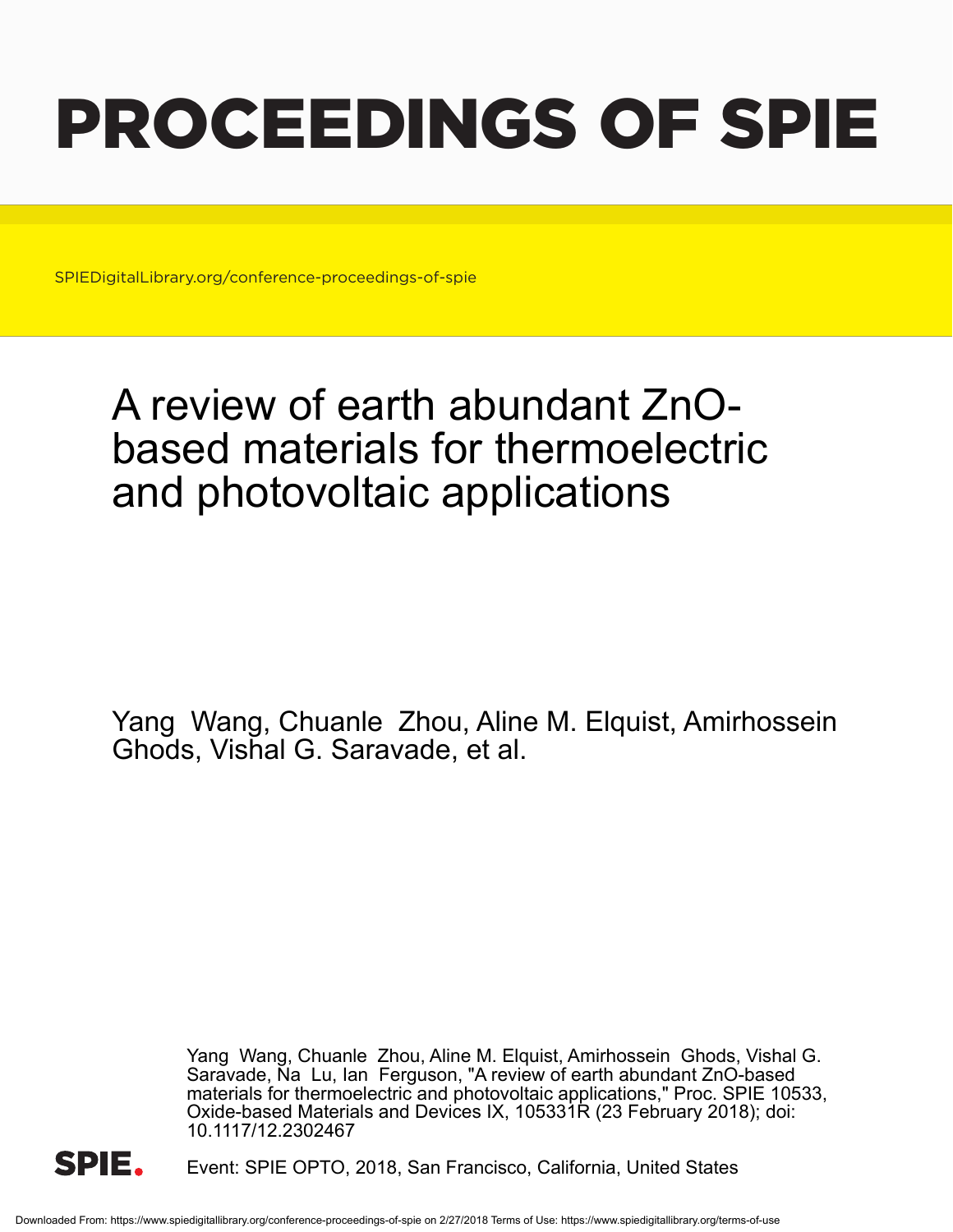# PROCEEDINGS OF SPIE

SPIEDigitalLibrary.org/conference-proceedings-of-spie

## A review of earth abundant ZnObased materials for thermoelectric and photovoltaic applications

Yang Wang, Chuanle Zhou, Aline M. Elquist, Amirhossein Ghods, Vishal G. Saravade, et al.

> Yang Wang, Chuanle Zhou, Aline M. Elquist, Amirhossein Ghods, Vishal G. Saravade, Na Lu, Ian Ferguson, "A review of earth abundant ZnO-based materials for thermoelectric and photovoltaic applications," Proc. SPIE 10533, Oxide-based Materials and Devices IX, 105331R (23 February 2018); doi: 10.1117/12.2302467



Event: SPIE OPTO, 2018, San Francisco, California, United States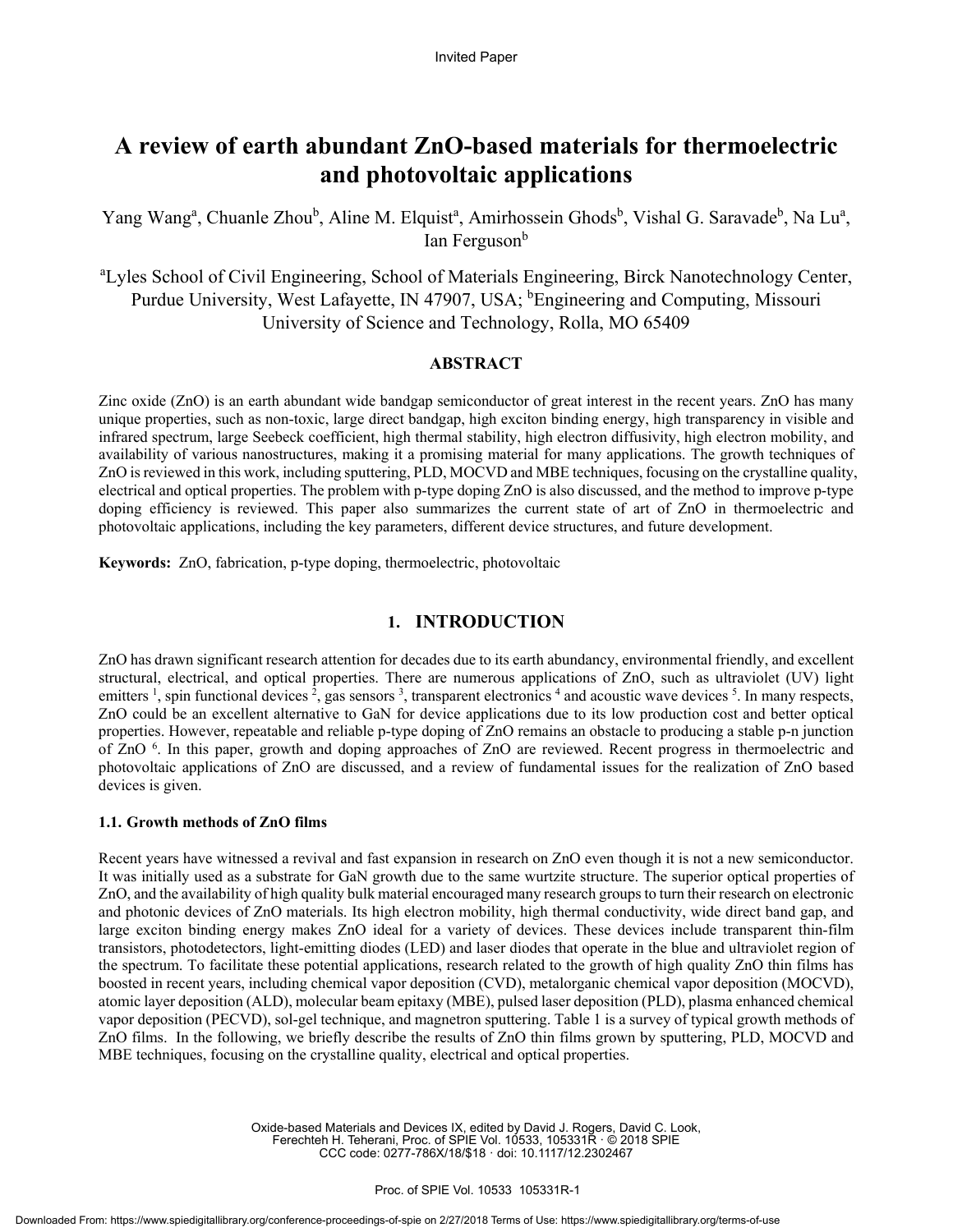### **A review of earth abundant ZnO-based materials for thermoelectric and photovoltaic applications**

Yang Wang<sup>a</sup>, Chuanle Zhou<sup>b</sup>, Aline M. Elquist<sup>a</sup>, Amirhossein Ghods<sup>b</sup>, Vishal G. Saravade<sup>b</sup>, Na Lu<sup>a</sup>, Ian Ferguson<sup>b</sup>

<sup>a</sup>Lyles School of Civil Engineering, School of Materials Engineering, Birck Nanotechnology Center, Purdue University, West Lafayette, IN 47907, USA; <sup>b</sup>Engineering and Computing, Missouri University of Science and Technology, Rolla, MO 65409

#### **ABSTRACT**

Zinc oxide (ZnO) is an earth abundant wide bandgap semiconductor of great interest in the recent years. ZnO has many unique properties, such as non-toxic, large direct bandgap, high exciton binding energy, high transparency in visible and infrared spectrum, large Seebeck coefficient, high thermal stability, high electron diffusivity, high electron mobility, and availability of various nanostructures, making it a promising material for many applications. The growth techniques of ZnO is reviewed in this work, including sputtering, PLD, MOCVD and MBE techniques, focusing on the crystalline quality, electrical and optical properties. The problem with p-type doping ZnO is also discussed, and the method to improve p-type doping efficiency is reviewed. This paper also summarizes the current state of art of ZnO in thermoelectric and photovoltaic applications, including the key parameters, different device structures, and future development.

**Keywords:** ZnO, fabrication, p-type doping, thermoelectric, photovoltaic

#### **1. INTRODUCTION**

ZnO has drawn significant research attention for decades due to its earth abundancy, environmental friendly, and excellent structural, electrical, and optical properties. There are numerous applications of ZnO, such as ultraviolet (UV) light emitters<sup>1</sup>, spin functional devices<sup>2</sup>, gas sensors<sup>3</sup>, transparent electronics<sup>4</sup> and acoustic wave devices<sup>5</sup>. In many respects, ZnO could be an excellent alternative to GaN for device applications due to its low production cost and better optical properties. However, repeatable and reliable p-type doping of ZnO remains an obstacle to producing a stable p-n junction of ZnO <sup>6</sup>. In this paper, growth and doping approaches of ZnO are reviewed. Recent progress in thermoelectric and photovoltaic applications of ZnO are discussed, and a review of fundamental issues for the realization of ZnO based devices is given.

#### **1.1. Growth methods of ZnO films**

Recent years have witnessed a revival and fast expansion in research on ZnO even though it is not a new semiconductor. It was initially used as a substrate for GaN growth due to the same wurtzite structure. The superior optical properties of ZnO, and the availability of high quality bulk material encouraged many research groups to turn their research on electronic and photonic devices of ZnO materials. Its high electron mobility, high thermal conductivity, wide direct band gap, and large exciton binding energy makes ZnO ideal for a variety of devices. These devices include transparent thin-film transistors, photodetectors, light-emitting diodes (LED) and laser diodes that operate in the blue and ultraviolet region of the spectrum. To facilitate these potential applications, research related to the growth of high quality ZnO thin films has boosted in recent years, including chemical vapor deposition (CVD), metalorganic chemical vapor deposition (MOCVD), atomic layer deposition (ALD), molecular beam epitaxy (MBE), pulsed laser deposition (PLD), plasma enhanced chemical vapor deposition (PECVD), sol-gel technique, and magnetron sputtering. Table 1 is a survey of typical growth methods of ZnO films. In the following, we briefly describe the results of ZnO thin films grown by sputtering, PLD, MOCVD and MBE techniques, focusing on the crystalline quality, electrical and optical properties.

> Oxide-based Materials and Devices IX, edited by David J. Rogers, David C. Look, Ferechteh H. Teherani, Proc. of SPIE Vol. 10533, 105331R · © 2018 SPIE CCC code: 0277-786X/18/\$18 · doi: 10.1117/12.2302467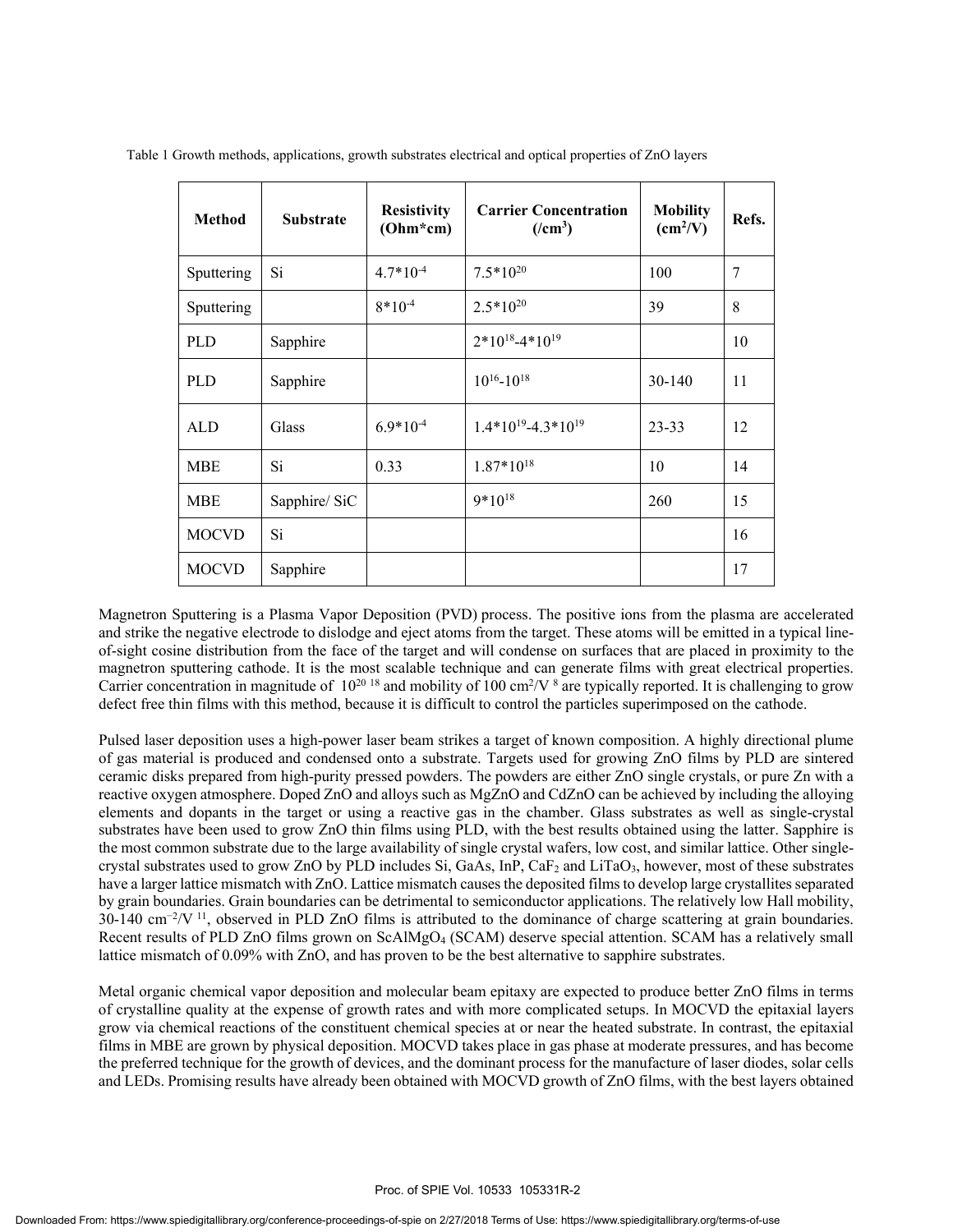| <b>Method</b> | <b>Substrate</b> | <b>Resistivity</b><br>$(Ohm*cm)$ | <b>Carrier Concentration</b><br>$($ /cm <sup>3</sup> $)$ | <b>Mobility</b><br>$\text{(cm}^2/\text{V})$ | Refs. |
|---------------|------------------|----------------------------------|----------------------------------------------------------|---------------------------------------------|-------|
| Sputtering    | Si               | $4.7*10^{-4}$                    | $7.5*10^{20}$                                            | 100                                         | 7     |
| Sputtering    |                  | $8*10^{-4}$                      | $2.5*10^{20}$                                            | 39                                          | 8     |
| <b>PLD</b>    | Sapphire         |                                  | $2*10^{18} - 4*10^{19}$                                  |                                             | 10    |
| <b>PLD</b>    | Sapphire         |                                  | $10^{16} - 10^{18}$                                      | $30-140$                                    | 11    |
| <b>ALD</b>    | Glass            | $6.9*10^{-4}$                    | $1.4*10^{19} - 4.3*10^{19}$                              | $23 - 33$                                   | 12    |
| <b>MBE</b>    | Si               | 0.33                             | $1.87*10^{18}$                                           | 10                                          | 14    |
| <b>MBE</b>    | Sapphire/ SiC    |                                  | $9*10^{18}$                                              | 260                                         | 15    |
| <b>MOCVD</b>  | Si               |                                  |                                                          |                                             | 16    |
| <b>MOCVD</b>  | Sapphire         |                                  |                                                          |                                             | 17    |

Table 1 Growth methods, applications, growth substrates electrical and optical properties of ZnO layers

Magnetron Sputtering is a Plasma Vapor Deposition (PVD) process. The positive ions from the plasma are accelerated and strike the negative electrode to dislodge and eject atoms from the target. These atoms will be emitted in a typical lineof-sight cosine distribution from the face of the target and will condense on surfaces that are placed in proximity to the magnetron sputtering cathode. It is the most scalable technique and can generate films with great electrical properties. Carrier concentration in magnitude of  $10^{20}$  <sup>18</sup> and mobility of 100 cm<sup>2</sup>/V  $^8$  are typically reported. It is challenging to grow defect free thin films with this method, because it is difficult to control the particles superimposed on the cathode.

Pulsed laser deposition uses a high-power laser beam strikes a target of known composition. A highly directional plume of gas material is produced and condensed onto a substrate. Targets used for growing ZnO films by PLD are sintered ceramic disks prepared from high-purity pressed powders. The powders are either ZnO single crystals, or pure Zn with a reactive oxygen atmosphere. Doped ZnO and alloys such as MgZnO and CdZnO can be achieved by including the alloying elements and dopants in the target or using a reactive gas in the chamber. Glass substrates as well as single-crystal substrates have been used to grow ZnO thin films using PLD, with the best results obtained using the latter. Sapphire is the most common substrate due to the large availability of single crystal wafers, low cost, and similar lattice. Other singlecrystal substrates used to grow ZnO by PLD includes Si, GaAs,  $InP$ , Ca $F_2$  and LiTaO<sub>3</sub>, however, most of these substrates have a larger lattice mismatch with ZnO. Lattice mismatch causes the deposited films to develop large crystallites separated by grain boundaries. Grain boundaries can be detrimental to semiconductor applications. The relatively low Hall mobility,  $30-140 \text{ cm}^{-2}/V$ <sup>11</sup>, observed in PLD ZnO films is attributed to the dominance of charge scattering at grain boundaries. Recent results of PLD ZnO films grown on ScAlMgO4 (SCAM) deserve special attention. SCAM has a relatively small lattice mismatch of 0.09% with ZnO, and has proven to be the best alternative to sapphire substrates.

Metal organic chemical vapor deposition and molecular beam epitaxy are expected to produce better ZnO films in terms of crystalline quality at the expense of growth rates and with more complicated setups. In MOCVD the epitaxial layers grow via chemical reactions of the constituent chemical species at or near the heated substrate. In contrast, the epitaxial films in MBE are grown by physical deposition. MOCVD takes place in gas phase at moderate pressures, and has become the preferred technique for the growth of devices, and the dominant process for the manufacture of laser diodes, solar cells and LEDs. Promising results have already been obtained with MOCVD growth of ZnO films, with the best layers obtained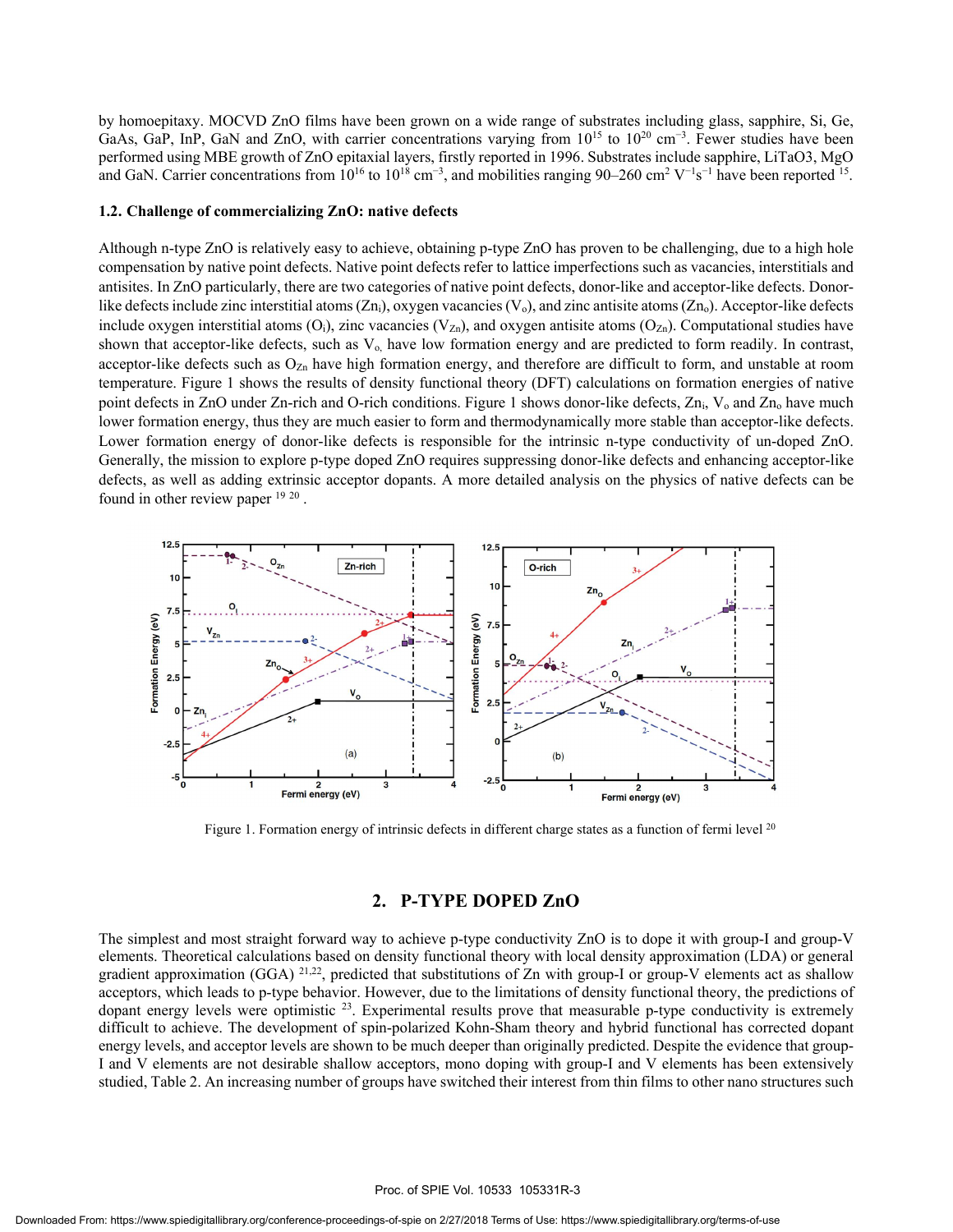by homoepitaxy. MOCVD ZnO films have been grown on a wide range of substrates including glass, sapphire, Si, Ge, GaAs, GaP, InP, GaN and ZnO, with carrier concentrations varying from  $10^{15}$  to  $10^{20}$  cm<sup>-3</sup>. Fewer studies have been performed using MBE growth of ZnO epitaxial layers, firstly reported in 1996. Substrates include sapphire, LiTaO3, MgO and GaN. Carrier concentrations from  $10^{16}$  to  $10^{18}$  cm<sup>-3</sup>, and mobilities ranging 90–260 cm<sup>2</sup> V<sup>-1</sup>s<sup>-1</sup> have been reported <sup>15</sup>.

#### **1.2. Challenge of commercializing ZnO: native defects**

Although n-type ZnO is relatively easy to achieve, obtaining p-type ZnO has proven to be challenging, due to a high hole compensation by native point defects. Native point defects refer to lattice imperfections such as vacancies, interstitials and antisites. In ZnO particularly, there are two categories of native point defects, donor-like and acceptor-like defects. Donorlike defects include zinc interstitial atoms  $(Zn_i)$ , oxygen vacancies  $(V_o)$ , and zinc antisite atoms  $(Zn_o)$ . Acceptor-like defects include oxygen interstitial atoms  $(O_i)$ , zinc vacancies  $(V_{Zn})$ , and oxygen antisite atoms  $(O_{Zn})$ . Computational studies have shown that acceptor-like defects, such as  $V_0$ , have low formation energy and are predicted to form readily. In contrast, acceptor-like defects such as  $O_{Zn}$  have high formation energy, and therefore are difficult to form, and unstable at room temperature. Figure 1 shows the results of density functional theory (DFT) calculations on formation energies of native point defects in ZnO under Zn-rich and O-rich conditions. Figure 1 shows donor-like defects, Zn<sub>i</sub>, V<sub>o</sub> and Zn<sub>o</sub> have much lower formation energy, thus they are much easier to form and thermodynamically more stable than acceptor-like defects. Lower formation energy of donor-like defects is responsible for the intrinsic n-type conductivity of un-doped ZnO. Generally, the mission to explore p-type doped ZnO requires suppressing donor-like defects and enhancing acceptor-like defects, as well as adding extrinsic acceptor dopants. A more detailed analysis on the physics of native defects can be found in other review paper 19 20 .



Figure 1. Formation energy of intrinsic defects in different charge states as a function of fermi level <sup>20</sup>

#### **2. P-TYPE DOPED ZnO**

The simplest and most straight forward way to achieve p-type conductivity ZnO is to dope it with group-I and group-V elements. Theoretical calculations based on density functional theory with local density approximation (LDA) or general gradient approximation (GGA) <sup>21,22</sup>, predicted that substitutions of Zn with group-I or group-V elements act as shallow acceptors, which leads to p-type behavior. However, due to the limitations of density functional theory, the predictions of dopant energy levels were optimistic  $^{23}$ . Experimental results prove that measurable p-type conductivity is extremely difficult to achieve. The development of spin-polarized Kohn-Sham theory and hybrid functional has corrected dopant energy levels, and acceptor levels are shown to be much deeper than originally predicted. Despite the evidence that group-I and V elements are not desirable shallow acceptors, mono doping with group-I and V elements has been extensively studied, Table 2. An increasing number of groups have switched their interest from thin films to other nano structures such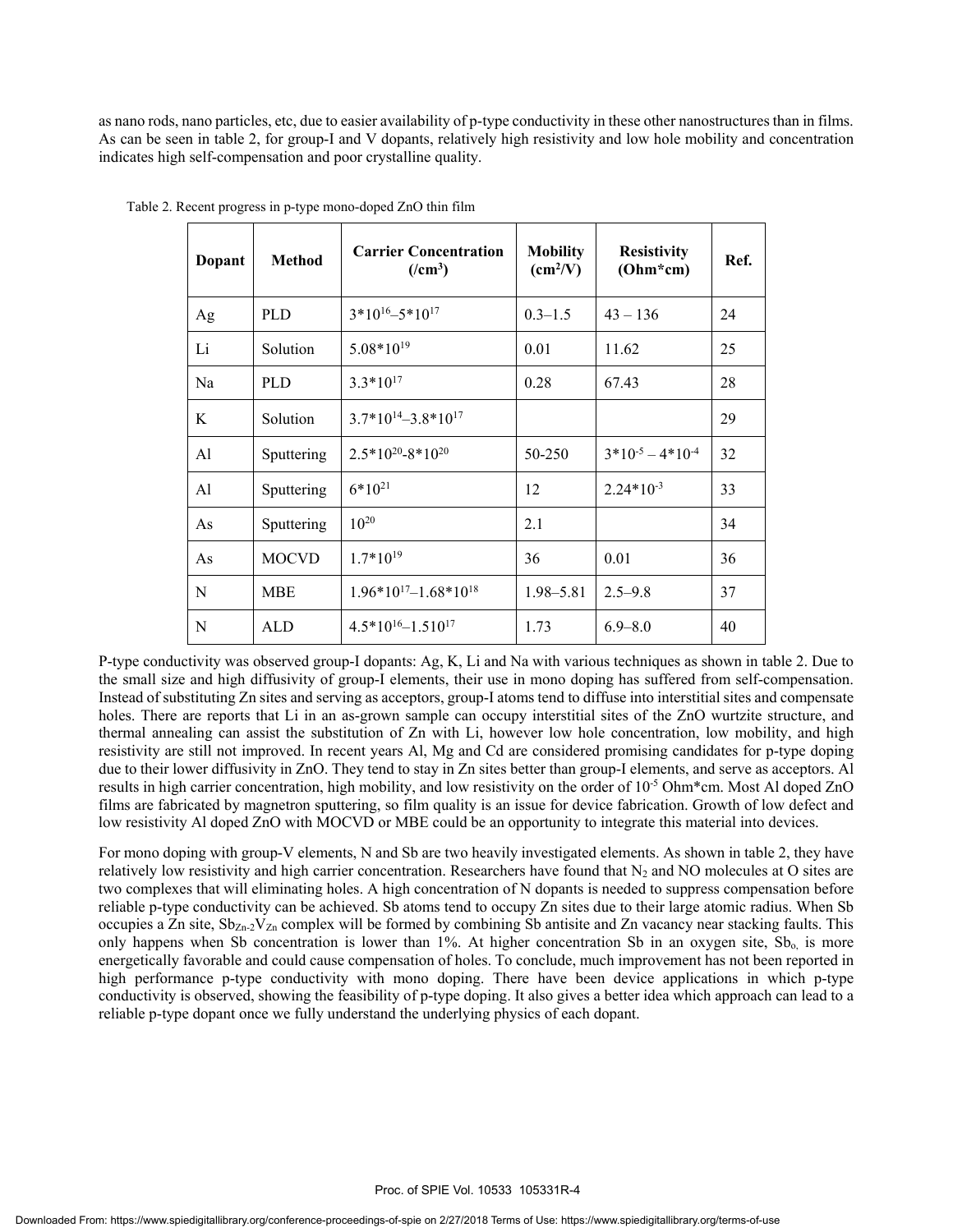as nano rods, nano particles, etc, due to easier availability of p-type conductivity in these other nanostructures than in films. As can be seen in table 2, for group-I and V dopants, relatively high resistivity and low hole mobility and concentration indicates high self-compensation and poor crystalline quality.

| Dopant | <b>Method</b> | <b>Carrier Concentration</b><br>$(\ell$ cm <sup>3</sup> ) | <b>Mobility</b><br>$\text{(cm}^2/\text{V})$ | <b>Resistivity</b><br>$(Ohm*cm)$ | Ref. |
|--------|---------------|-----------------------------------------------------------|---------------------------------------------|----------------------------------|------|
| Ag     | <b>PLD</b>    | $3*10^{16} - 5*10^{17}$                                   | $0.3 - 1.5$                                 | $43 - 136$                       | 24   |
| Li     | Solution      | $5.08*10^{19}$                                            | 0.01                                        | 11.62                            | 25   |
| Na     | <b>PLD</b>    | $3.3*10^{17}$                                             | 0.28                                        | 67.43                            | 28   |
| K      | Solution      | $3.7*10^{14} - 3.8*10^{17}$                               |                                             |                                  | 29   |
| Al     | Sputtering    | $2.5*10^{20} - 8*10^{20}$                                 | 50-250                                      | $3*10-5 - 4*10-4$                | 32   |
| Al     | Sputtering    | $6*10^{21}$                                               | 12                                          | $2.24*10^{-3}$                   | 33   |
| As     | Sputtering    | $10^{20}$                                                 | 2.1                                         |                                  | 34   |
| As     | <b>MOCVD</b>  | $1.7*10^{19}$                                             | 36                                          | 0.01                             | 36   |
| N      | <b>MBE</b>    | $1.96*10^{17} - 1.68*10^{18}$                             | $1.98 - 5.81$                               | $2.5 - 9.8$                      | 37   |
| N      | ALD           | $4.5*10^{16} - 1.510^{17}$                                | 1.73                                        | $6.9 - 8.0$                      | 40   |

Table 2. Recent progress in p-type mono-doped ZnO thin film

P-type conductivity was observed group-I dopants: Ag, K, Li and Na with various techniques as shown in table 2. Due to the small size and high diffusivity of group-I elements, their use in mono doping has suffered from self-compensation. Instead of substituting Zn sites and serving as acceptors, group-I atoms tend to diffuse into interstitial sites and compensate holes. There are reports that Li in an as-grown sample can occupy interstitial sites of the ZnO wurtzite structure, and thermal annealing can assist the substitution of Zn with Li, however low hole concentration, low mobility, and high resistivity are still not improved. In recent years Al, Mg and Cd are considered promising candidates for p-type doping due to their lower diffusivity in ZnO. They tend to stay in Zn sites better than group-I elements, and serve as acceptors. Al results in high carrier concentration, high mobility, and low resistivity on the order of  $10^{-5}$  Ohm\*cm. Most Al doped ZnO films are fabricated by magnetron sputtering, so film quality is an issue for device fabrication. Growth of low defect and low resistivity Al doped ZnO with MOCVD or MBE could be an opportunity to integrate this material into devices.

For mono doping with group-V elements, N and Sb are two heavily investigated elements. As shown in table 2, they have relatively low resistivity and high carrier concentration. Researchers have found that  $N_2$  and NO molecules at O sites are two complexes that will eliminating holes. A high concentration of N dopants is needed to suppress compensation before reliable p-type conductivity can be achieved. Sb atoms tend to occupy Zn sites due to their large atomic radius. When Sb occupies a Zn site,  $Sb_{Zn-2}V_{Zn}$  complex will be formed by combining Sb antisite and Zn vacancy near stacking faults. This only happens when Sb concentration is lower than 1%. At higher concentration Sb in an oxygen site, Sb<sub>o</sub> is more energetically favorable and could cause compensation of holes. To conclude, much improvement has not been reported in high performance p-type conductivity with mono doping. There have been device applications in which p-type conductivity is observed, showing the feasibility of p-type doping. It also gives a better idea which approach can lead to a reliable p-type dopant once we fully understand the underlying physics of each dopant.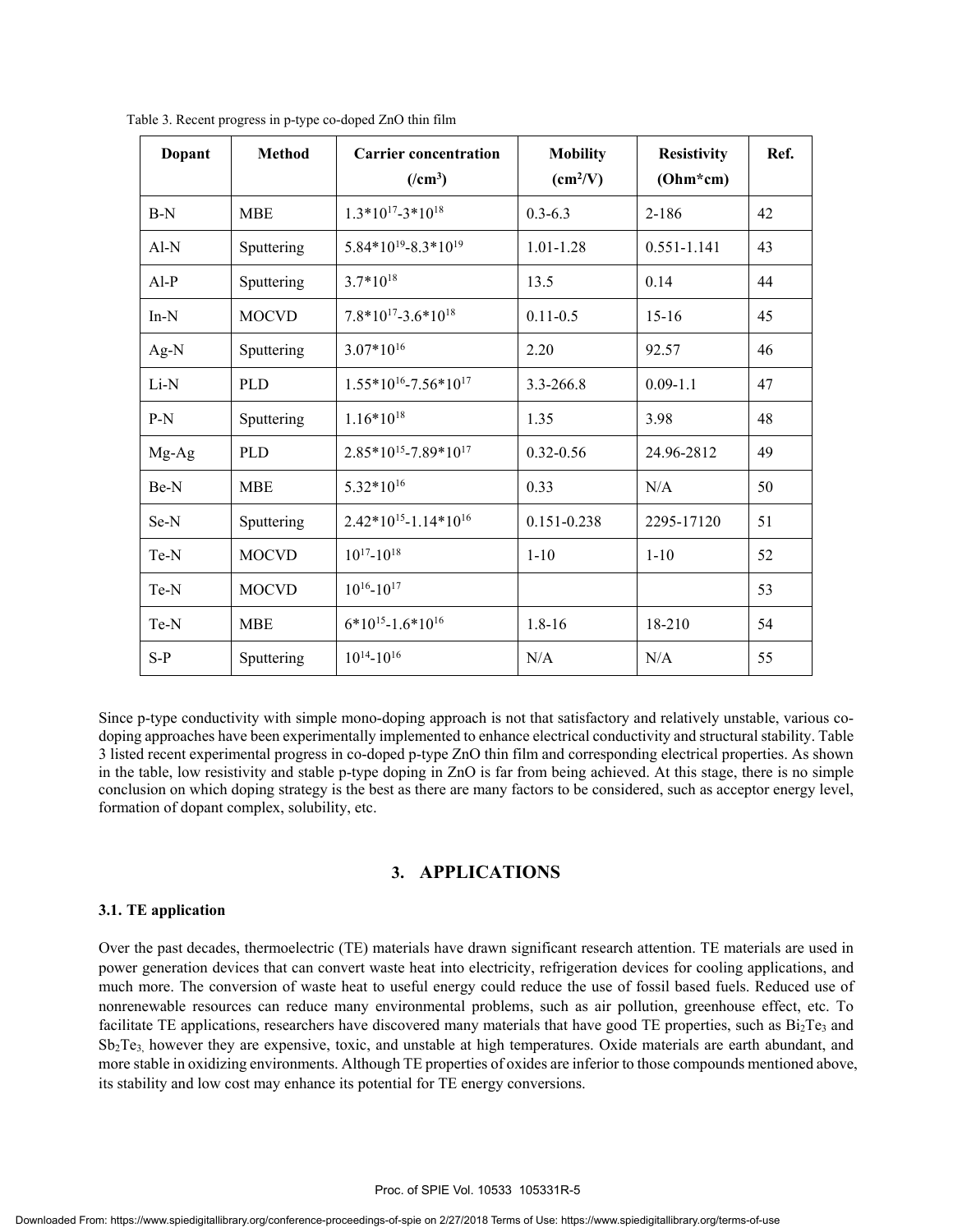| Dopant | <b>Method</b> | <b>Carrier concentration</b><br>$(\text{cm}^3)$ | <b>Mobility</b><br>$\text{(cm}^2/\text{V})$ | <b>Resistivity</b><br>$(Ohm*cm)$ | Ref. |
|--------|---------------|-------------------------------------------------|---------------------------------------------|----------------------------------|------|
| $B-N$  | <b>MBE</b>    | $1.3*10^{17} - 3*10^{18}$                       | $0.3 - 6.3$                                 | 2-186                            | 42   |
| $Al-N$ | Sputtering    | $5.84*10^{19} - 8.3*10^{19}$                    | $1.01 - 1.28$                               | $0.551 - 1.141$                  | 43   |
| $AI-P$ | Sputtering    | $3.7*10^{18}$                                   | 13.5                                        | 0.14                             | 44   |
| $In-N$ | <b>MOCVD</b>  | $7.8*10^{17} - 3.6*10^{18}$                     | $0.11 - 0.5$                                | $15-16$                          | 45   |
| $Ag-N$ | Sputtering    | $3.07*10^{16}$                                  | 2.20                                        | 92.57                            | 46   |
| Li-N   | <b>PLD</b>    | $1.55*10^{16} - 7.56*10^{17}$                   | 3.3-266.8                                   | $0.09 - 1.1$                     | 47   |
| $P-N$  | Sputtering    | $1.16*10^{18}$                                  | 1.35                                        | 3.98                             | 48   |
| Mg-Ag  | <b>PLD</b>    | $2.85*10^{15} - 7.89*10^{17}$                   | $0.32 - 0.56$                               | 24.96-2812                       | 49   |
| Be-N   | <b>MBE</b>    | 5.32*10 <sup>16</sup>                           | 0.33                                        | N/A                              | 50   |
| Se-N   | Sputtering    | $2.42*10^{15} - 1.14*10^{16}$                   | 0.151-0.238                                 | 2295-17120                       | 51   |
| Te-N   | <b>MOCVD</b>  | $10^{17} - 10^{18}$                             | $1 - 10$                                    | $1 - 10$                         | 52   |
| Te-N   | <b>MOCVD</b>  | $10^{16} - 10^{17}$                             |                                             |                                  | 53   |
| Te-N   | <b>MBE</b>    | $6*10^{15} - 1.6*10^{16}$                       | $1.8 - 16$                                  | 18-210                           | 54   |
| $S-P$  | Sputtering    | $10^{14} - 10^{16}$                             | N/A                                         | N/A                              | 55   |

Table 3. Recent progress in p-type co-doped ZnO thin film

Since p-type conductivity with simple mono-doping approach is not that satisfactory and relatively unstable, various codoping approaches have been experimentally implemented to enhance electrical conductivity and structural stability. Table 3 listed recent experimental progress in co-doped p-type ZnO thin film and corresponding electrical properties. As shown in the table, low resistivity and stable p-type doping in ZnO is far from being achieved. At this stage, there is no simple conclusion on which doping strategy is the best as there are many factors to be considered, such as acceptor energy level, formation of dopant complex, solubility, etc.

#### **3. APPLICATIONS**

#### **3.1. TE application**

Over the past decades, thermoelectric (TE) materials have drawn significant research attention. TE materials are used in power generation devices that can convert waste heat into electricity, refrigeration devices for cooling applications, and much more. The conversion of waste heat to useful energy could reduce the use of fossil based fuels. Reduced use of nonrenewable resources can reduce many environmental problems, such as air pollution, greenhouse effect, etc. To facilitate TE applications, researchers have discovered many materials that have good TE properties, such as  $Bi<sub>2</sub>Te<sub>3</sub>$  and Sb2Te3, however they are expensive, toxic, and unstable at high temperatures. Oxide materials are earth abundant, and more stable in oxidizing environments. Although TE properties of oxides are inferior to those compounds mentioned above, its stability and low cost may enhance its potential for TE energy conversions.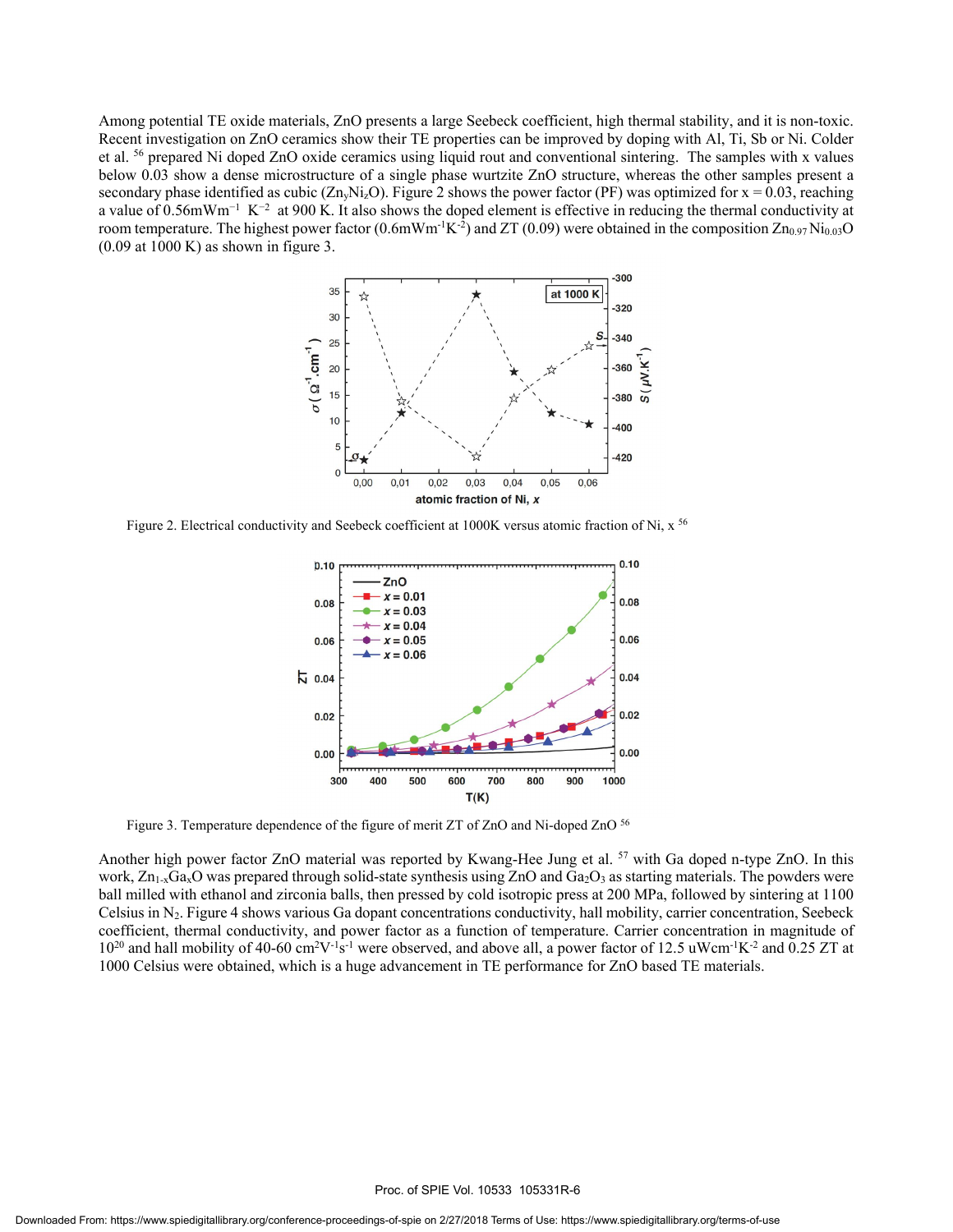Among potential TE oxide materials, ZnO presents a large Seebeck coefficient, high thermal stability, and it is non-toxic. Recent investigation on ZnO ceramics show their TE properties can be improved by doping with Al, Ti, Sb or Ni. Colder et al. 56 prepared Ni doped ZnO oxide ceramics using liquid rout and conventional sintering. The samples with x values below 0.03 show a dense microstructure of a single phase wurtzite ZnO structure, whereas the other samples present a secondary phase identified as cubic ( $\text{Zn}_y\text{Ni}_z\text{O}$ ). Figure 2 shows the power factor (PF) was optimized for  $x = 0.03$ , reaching a value of 0.56mWm<sup>-1</sup> K<sup>-2</sup> at 900 K. It also shows the doped element is effective in reducing the thermal conductivity at room temperature. The highest power factor (0.6mWm<sup>-1</sup>K<sup>-2</sup>) and ZT (0.09) were obtained in the composition Zn<sub>0.97</sub> Ni<sub>0.03</sub>O  $(0.09$  at  $1000$  K) as shown in figure 3.



Figure 2. Electrical conductivity and Seebeck coefficient at 1000K versus atomic fraction of Ni,  $x^{56}$ 



Figure 3. Temperature dependence of the figure of merit ZT of ZnO and Ni-doped ZnO 56

Another high power factor ZnO material was reported by Kwang-Hee Jung et al. <sup>57</sup> with Ga doped n-type ZnO. In this work,  $Zn_{1-x}Ga_xO$  was prepared through solid-state synthesis using ZnO and  $Ga_2O_3$  as starting materials. The powders were ball milled with ethanol and zirconia balls, then pressed by cold isotropic press at 200 MPa, followed by sintering at 1100 Celsius in  $N_2$ . Figure 4 shows various Ga dopant concentrations conductivity, hall mobility, carrier concentration, Seebeck coefficient, thermal conductivity, and power factor as a function of temperature. Carrier concentration in magnitude of  $10^{20}$  and hall mobility of 40-60 cm<sup>2</sup>V<sup>-1</sup>s<sup>-1</sup> were observed, and above all, a power factor of 12.5 uWcm<sup>-1</sup>K<sup>-2</sup> and 0.25 ZT at 1000 Celsius were obtained, which is a huge advancement in TE performance for ZnO based TE materials.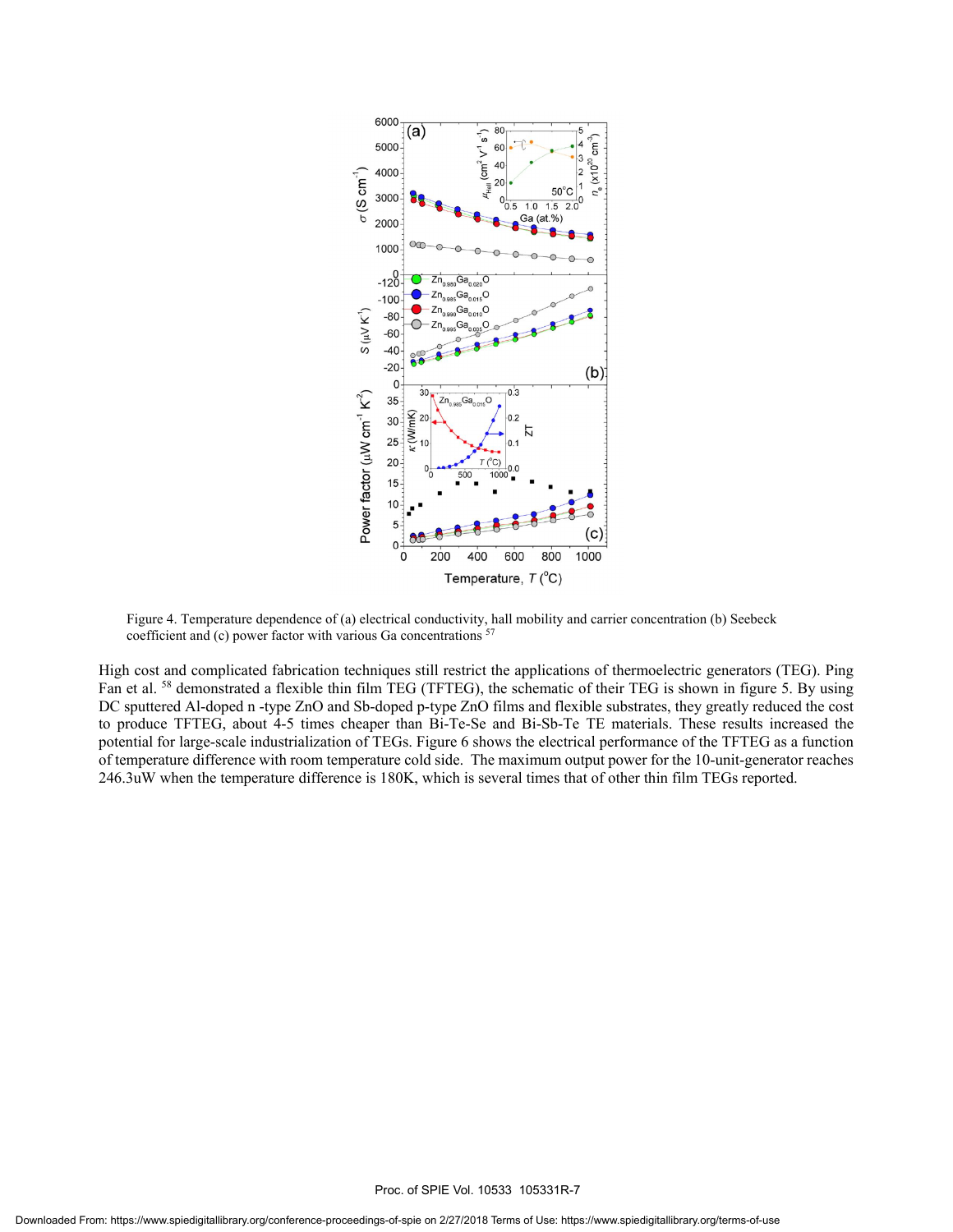

Figure 4. Temperature dependence of (a) electrical conductivity, hall mobility and carrier concentration (b) Seebeck coefficient and (c) power factor with various Ga concentrations <sup>57</sup>

High cost and complicated fabrication techniques still restrict the applications of thermoelectric generators (TEG). Ping Fan et al. <sup>58</sup> demonstrated a flexible thin film TEG (TFTEG), the schematic of their TEG is shown in figure 5. By using DC sputtered Al-doped n -type ZnO and Sb-doped p-type ZnO films and flexible substrates, they greatly reduced the cost to produce TFTEG, about 4-5 times cheaper than Bi-Te-Se and Bi-Sb-Te TE materials. These results increased the potential for large-scale industrialization of TEGs. Figure 6 shows the electrical performance of the TFTEG as a function of temperature difference with room temperature cold side. The maximum output power for the 10-unit-generator reaches 246.3uW when the temperature difference is 180K, which is several times that of other thin film TEGs reported.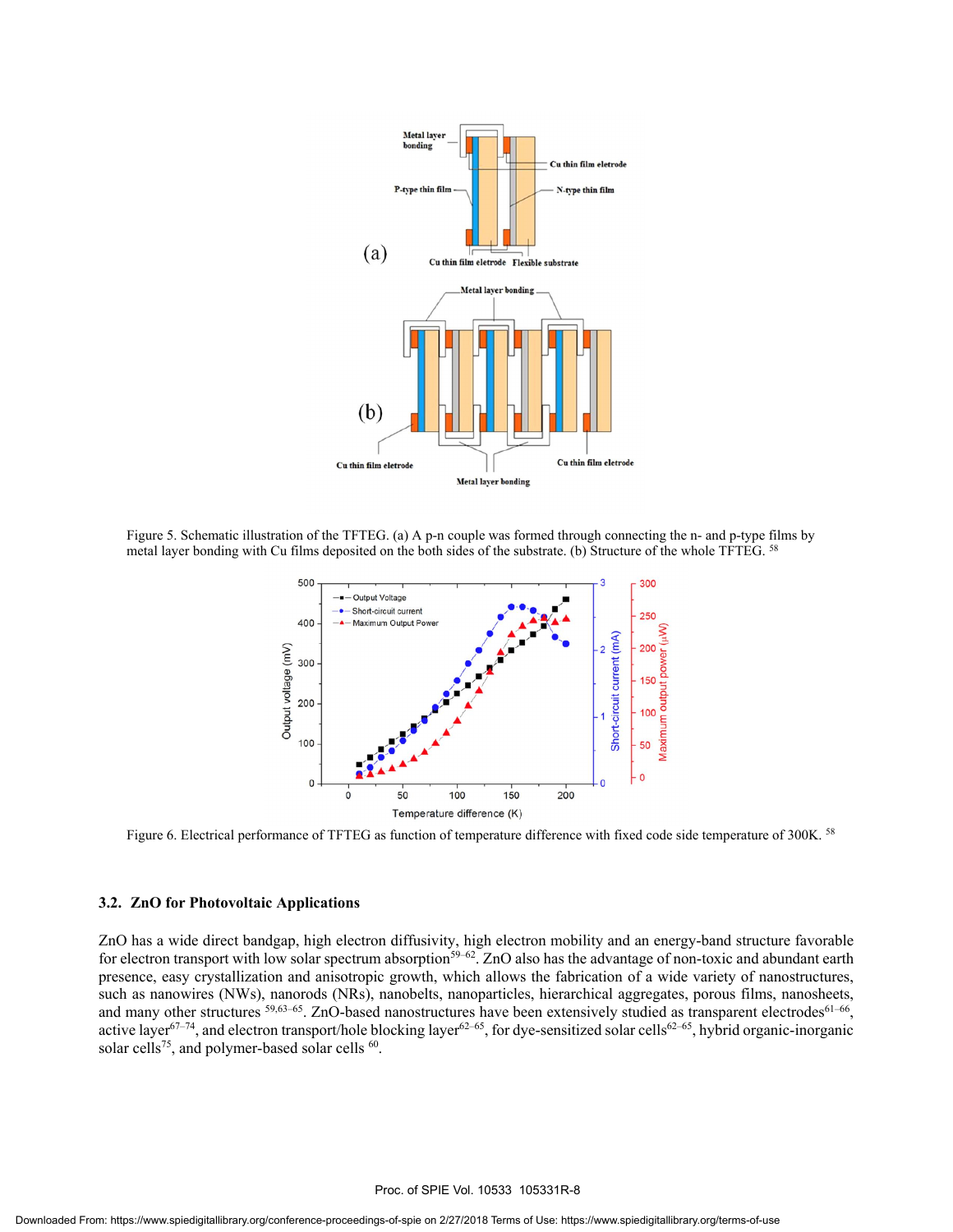

Figure 5. Schematic illustration of the TFTEG. (a) A p-n couple was formed through connecting the n- and p-type films by metal layer bonding with Cu films deposited on the both sides of the substrate. (b) Structure of the whole TFTEG. <sup>58</sup>



Figure 6. Electrical performance of TFTEG as function of temperature difference with fixed code side temperature of 300K. <sup>58</sup>

#### **3.2. ZnO for Photovoltaic Applications**

ZnO has a wide direct bandgap, high electron diffusivity, high electron mobility and an energy-band structure favorable for electron transport with low solar spectrum absorption<sup>59–62</sup>. ZnO also has the advantage of non-toxic and abundant earth presence, easy crystallization and anisotropic growth, which allows the fabrication of a wide variety of nanostructures, such as nanowires (NWs), nanorods (NRs), nanobelts, nanoparticles, hierarchical aggregates, porous films, nanosheets, and many other structures  $59,63-65$ . ZnO-based nanostructures have been extensively studied as transparent electrodes $61-66$ , active layer<sup>67–74</sup>, and electron transport/hole blocking layer<sup>62–65</sup>, for dye-sensitized solar cells<sup>62–65</sup>, hybrid organic-inorganic solar cells<sup>75</sup>, and polymer-based solar cells  $60$ .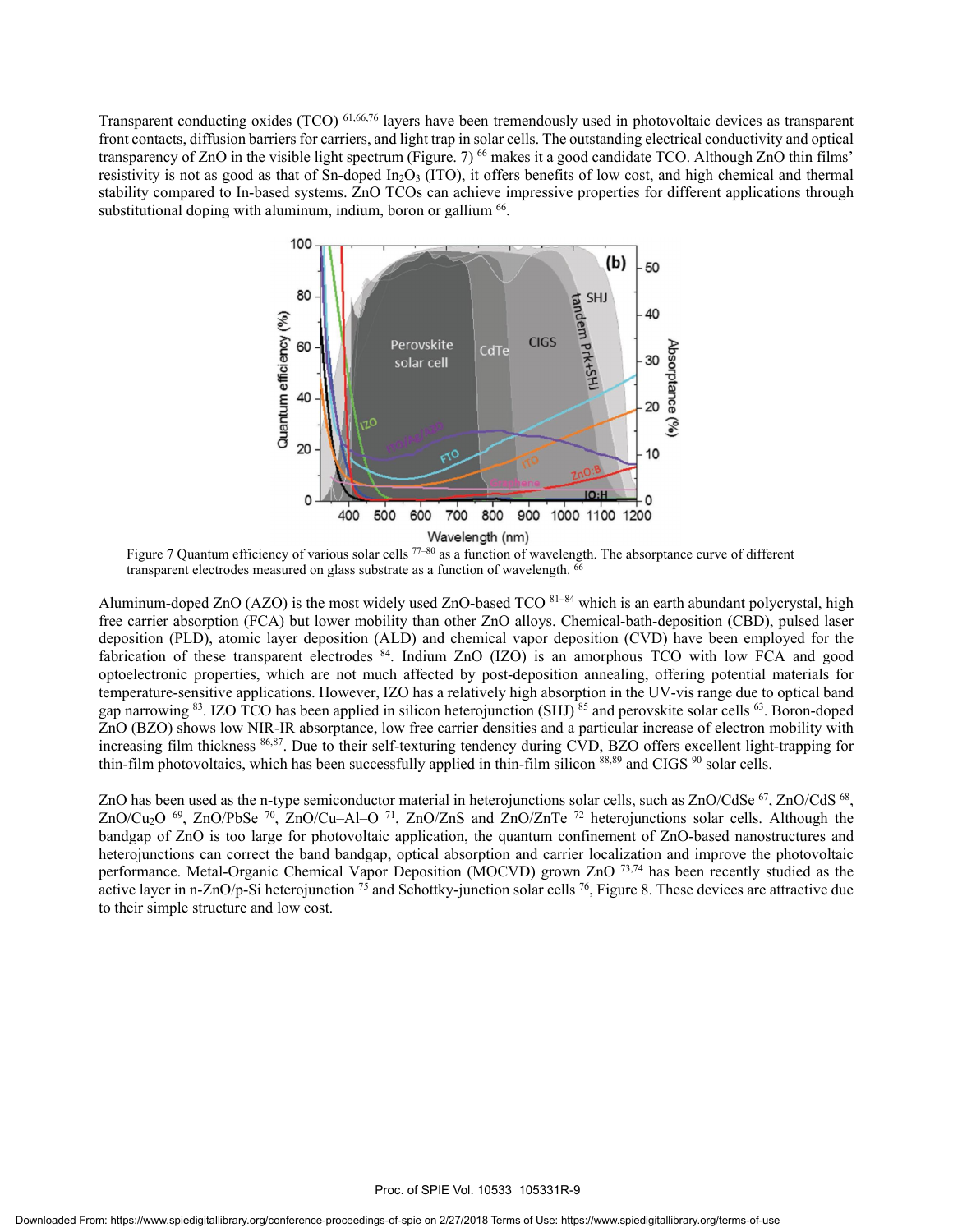Transparent conducting oxides (TCO) <sup>61,66,76</sup> layers have been tremendously used in photovoltaic devices as transparent front contacts, diffusion barriers for carriers, and light trap in solar cells. The outstanding electrical conductivity and optical transparency of ZnO in the visible light spectrum (Figure. 7)<sup>66</sup> makes it a good candidate TCO. Although ZnO thin films' resistivity is not as good as that of Sn-doped In<sub>2</sub>O<sub>3</sub> (ITO), it offers benefits of low cost, and high chemical and thermal stability compared to In-based systems. ZnO TCOs can achieve impressive properties for different applications through substitutional doping with aluminum, indium, boron or gallium <sup>66</sup>.



Figure 7 Quantum efficiency of various solar cells  $77-80$  as a function of wavelength. The absorptance curve of different transparent electrodes measured on glass substrate as a function of wavelength. <sup>66</sup>

Aluminum-doped ZnO (AZO) is the most widely used ZnO-based TCO  $81-84$  which is an earth abundant polycrystal, high free carrier absorption (FCA) but lower mobility than other ZnO alloys. Chemical-bath-deposition (CBD), pulsed laser deposition (PLD), atomic layer deposition (ALD) and chemical vapor deposition (CVD) have been employed for the fabrication of these transparent electrodes <sup>84</sup>. Indium ZnO (IZO) is an amorphous TCO with low FCA and good optoelectronic properties, which are not much affected by post-deposition annealing, offering potential materials for temperature-sensitive applications. However, IZO has a relatively high absorption in the UV-vis range due to optical band gap narrowing <sup>83</sup>. IZO TCO has been applied in silicon heterojunction (SHJ)<sup>85</sup> and perovskite solar cells <sup>63</sup>. Boron-doped ZnO (BZO) shows low NIR-IR absorptance, low free carrier densities and a particular increase of electron mobility with increasing film thickness 86,87. Due to their self-texturing tendency during CVD, BZO offers excellent light-trapping for thin-film photovoltaics, which has been successfully applied in thin-film silicon 88,89 and CIGS <sup>90</sup> solar cells.

ZnO has been used as the n-type semiconductor material in heterojunctions solar cells, such as ZnO/CdSe <sup>67</sup>, ZnO/CdS <sup>68</sup>, ZnO/Cu<sub>2</sub>O <sup>69</sup>, ZnO/PbSe <sup>70</sup>, ZnO/Cu–Al–O <sup>71</sup>, ZnO/ZnS and ZnO/ZnTe <sup>72</sup> heterojunctions solar cells. Although the bandgap of ZnO is too large for photovoltaic application, the quantum confinement of ZnO-based nanostructures and heterojunctions can correct the band bandgap, optical absorption and carrier localization and improve the photovoltaic performance. Metal-Organic Chemical Vapor Deposition (MOCVD) grown ZnO 73,74 has been recently studied as the active layer in n-ZnO/p-Si heterojunction  $^{75}$  and Schottky-junction solar cells  $^{76}$ , Figure 8. These devices are attractive due to their simple structure and low cost.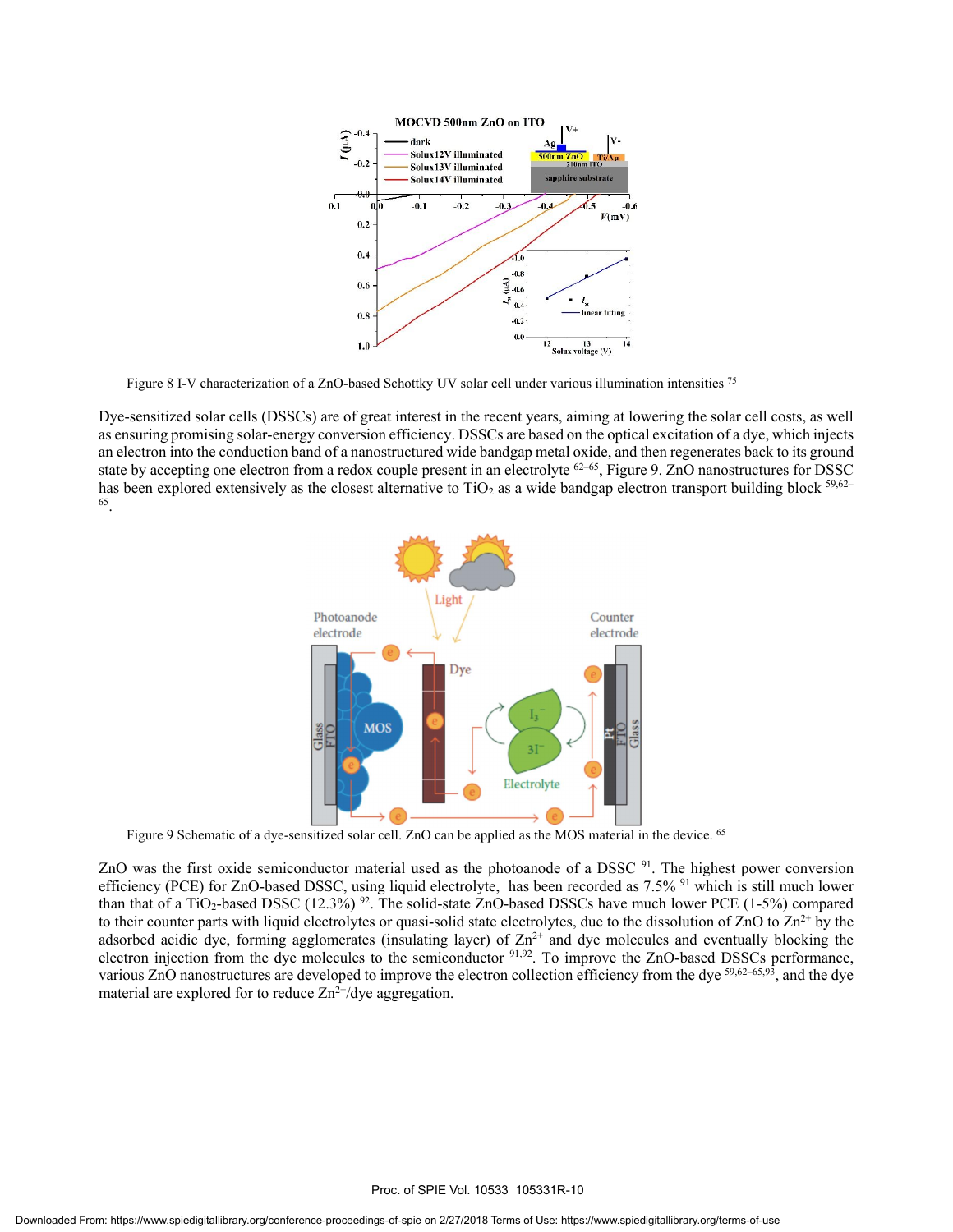

Figure 8 I-V characterization of a ZnO-based Schottky UV solar cell under various illumination intensities 75

Dye-sensitized solar cells (DSSCs) are of great interest in the recent years, aiming at lowering the solar cell costs, as well as ensuring promising solar-energy conversion efficiency. DSSCs are based on the optical excitation of a dye, which injects an electron into the conduction band of a nanostructured wide bandgap metal oxide, and then regenerates back to its ground state by accepting one electron from a redox couple present in an electrolyte  $62-65$ , Figure 9. ZnO nanostructures for DSSC has been explored extensively as the closest alternative to TiO<sub>2</sub> as a wide bandgap electron transport building block  $59,62-$ 65.



Figure 9 Schematic of a dye-sensitized solar cell. ZnO can be applied as the MOS material in the device. 65

ZnO was the first oxide semiconductor material used as the photoanode of a DSSC<sup>91</sup>. The highest power conversion efficiency (PCE) for ZnO-based DSSC, using liquid electrolyte, has been recorded as  $7.5\%$  <sup>91</sup> which is still much lower than that of a TiO<sub>2</sub>-based DSSC (12.3%)<sup>92</sup>. The solid-state ZnO-based DSSCs have much lower PCE (1-5%) compared to their counter parts with liquid electrolytes or quasi-solid state electrolytes, due to the dissolution of  $ZnO$  to  $Zn<sup>2+</sup>$  by the adsorbed acidic dye, forming agglomerates (insulating layer) of  $Zn^{2+}$  and dye molecules and eventually blocking the electron injection from the dye molecules to the semiconductor <sup>91,92</sup>. To improve the ZnO-based DSSCs performance, various ZnO nanostructures are developed to improve the electron collection efficiency from the dye <sup>59,62–65,93</sup>, and the dye material are explored for to reduce  $Zn^{2+}/dye$  aggregation.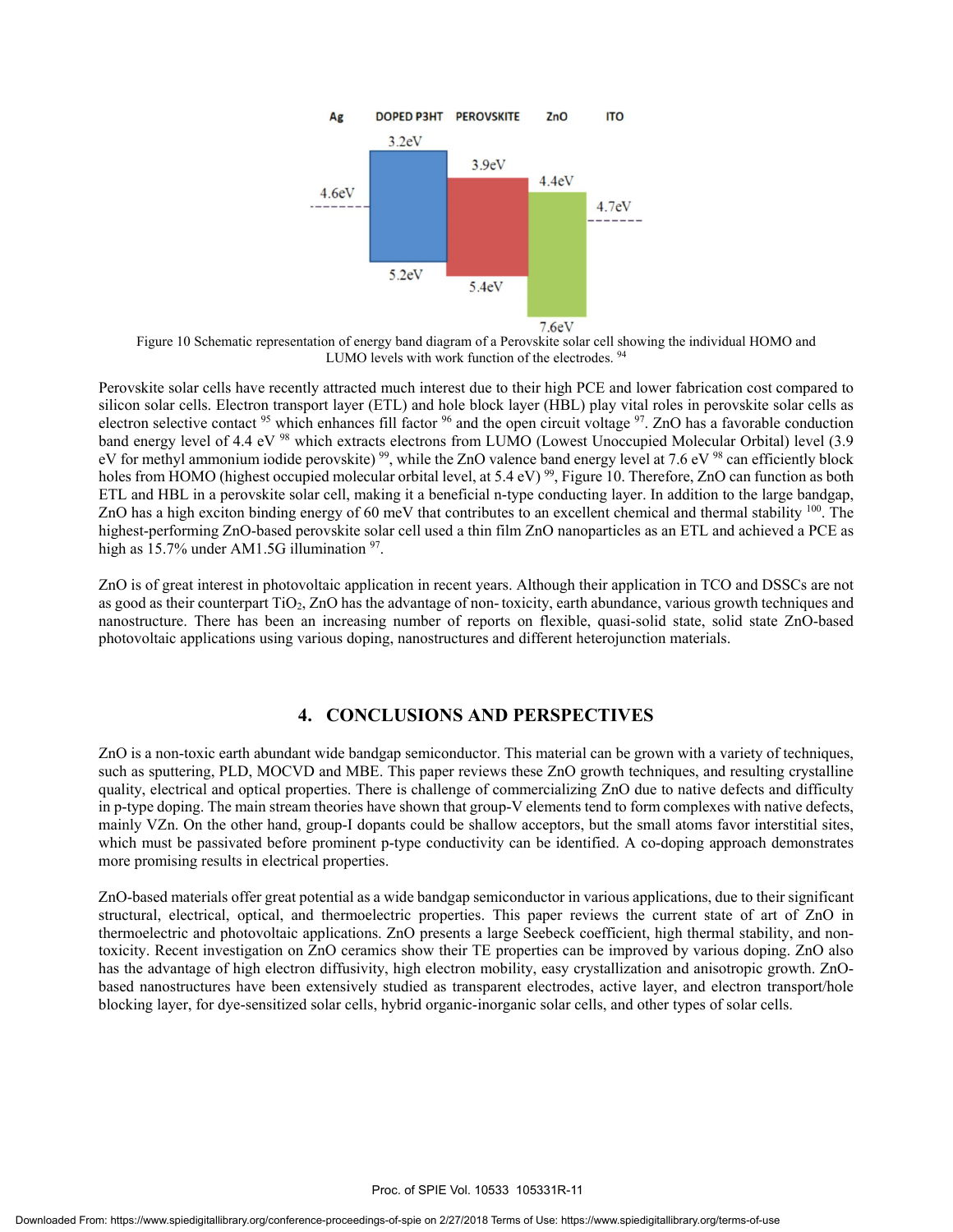

Figure 10 Schematic representation of energy band diagram of a Perovskite solar cell showing the individual HOMO and LUMO levels with work function of the electrodes. 94

Perovskite solar cells have recently attracted much interest due to their high PCE and lower fabrication cost compared to silicon solar cells. Electron transport layer (ETL) and hole block layer (HBL) play vital roles in perovskite solar cells as electron selective contact  $95$  which enhances fill factor  $96$  and the open circuit voltage  $97$ . ZnO has a favorable conduction band energy level of 4.4 eV <sup>98</sup> which extracts electrons from LUMO (Lowest Unoccupied Molecular Orbital) level (3.9 eV for methyl ammonium iodide perovskite)<sup>99</sup>, while the ZnO valence band energy level at 7.6 eV<sup>98</sup> can efficiently block holes from HOMO (highest occupied molecular orbital level, at 5.4 eV)  $^{99}$ , Figure 10. Therefore, ZnO can function as both ETL and HBL in a perovskite solar cell, making it a beneficial n-type conducting layer. In addition to the large bandgap, ZnO has a high exciton binding energy of 60 meV that contributes to an excellent chemical and thermal stability <sup>100</sup>. The highest-performing ZnO-based perovskite solar cell used a thin film ZnO nanoparticles as an ETL and achieved a PCE as high as 15.7% under AM1.5G illumination <sup>97</sup>.

ZnO is of great interest in photovoltaic application in recent years. Although their application in TCO and DSSCs are not as good as their counterpart  $TiO<sub>2</sub>$ , ZnO has the advantage of non-toxicity, earth abundance, various growth techniques and nanostructure. There has been an increasing number of reports on flexible, quasi-solid state, solid state ZnO-based photovoltaic applications using various doping, nanostructures and different heterojunction materials.

#### **4. CONCLUSIONS AND PERSPECTIVES**

ZnO is a non-toxic earth abundant wide bandgap semiconductor. This material can be grown with a variety of techniques, such as sputtering, PLD, MOCVD and MBE. This paper reviews these ZnO growth techniques, and resulting crystalline quality, electrical and optical properties. There is challenge of commercializing ZnO due to native defects and difficulty in p-type doping. The main stream theories have shown that group-V elements tend to form complexes with native defects, mainly VZn. On the other hand, group-I dopants could be shallow acceptors, but the small atoms favor interstitial sites, which must be passivated before prominent p-type conductivity can be identified. A co-doping approach demonstrates more promising results in electrical properties.

ZnO-based materials offer great potential as a wide bandgap semiconductor in various applications, due to their significant structural, electrical, optical, and thermoelectric properties. This paper reviews the current state of art of ZnO in thermoelectric and photovoltaic applications. ZnO presents a large Seebeck coefficient, high thermal stability, and nontoxicity. Recent investigation on ZnO ceramics show their TE properties can be improved by various doping. ZnO also has the advantage of high electron diffusivity, high electron mobility, easy crystallization and anisotropic growth. ZnObased nanostructures have been extensively studied as transparent electrodes, active layer, and electron transport/hole blocking layer, for dye-sensitized solar cells, hybrid organic-inorganic solar cells, and other types of solar cells.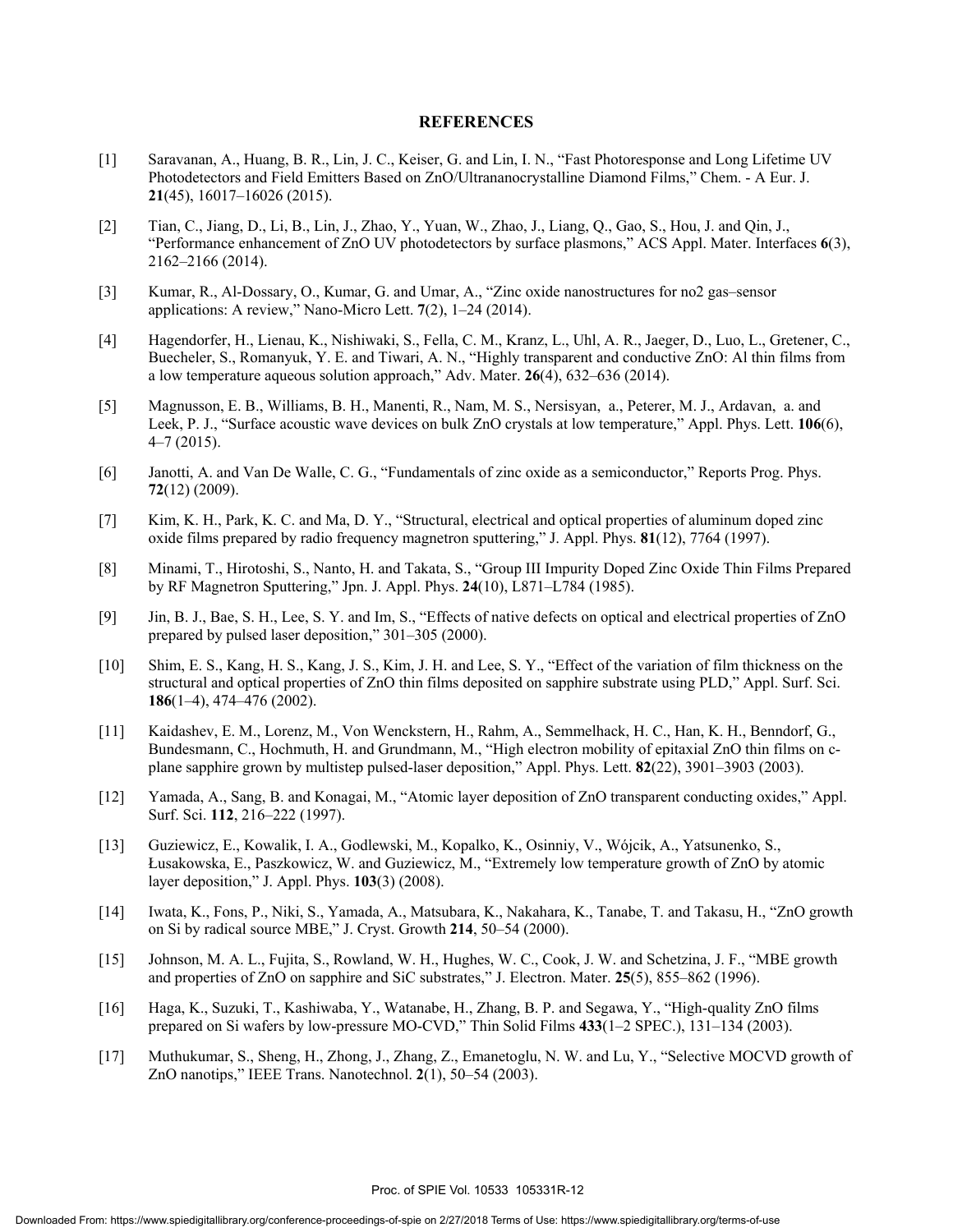#### **REFERENCES**

- [1] Saravanan, A., Huang, B. R., Lin, J. C., Keiser, G. and Lin, I. N., "Fast Photoresponse and Long Lifetime UV Photodetectors and Field Emitters Based on ZnO/Ultrananocrystalline Diamond Films," Chem. - A Eur. J. **21**(45), 16017–16026 (2015).
- [2] Tian, C., Jiang, D., Li, B., Lin, J., Zhao, Y., Yuan, W., Zhao, J., Liang, Q., Gao, S., Hou, J. and Qin, J., "Performance enhancement of ZnO UV photodetectors by surface plasmons," ACS Appl. Mater. Interfaces **6**(3), 2162–2166 (2014).
- [3] Kumar, R., Al-Dossary, O., Kumar, G. and Umar, A., "Zinc oxide nanostructures for no2 gas–sensor applications: A review," Nano-Micro Lett. **7**(2), 1–24 (2014).
- [4] Hagendorfer, H., Lienau, K., Nishiwaki, S., Fella, C. M., Kranz, L., Uhl, A. R., Jaeger, D., Luo, L., Gretener, C., Buecheler, S., Romanyuk, Y. E. and Tiwari, A. N., "Highly transparent and conductive ZnO: Al thin films from a low temperature aqueous solution approach," Adv. Mater. **26**(4), 632–636 (2014).
- [5] Magnusson, E. B., Williams, B. H., Manenti, R., Nam, M. S., Nersisyan, a., Peterer, M. J., Ardavan, a. and Leek, P. J., "Surface acoustic wave devices on bulk ZnO crystals at low temperature," Appl. Phys. Lett. **106**(6),  $4-7(2015)$ .
- [6] Janotti, A. and Van De Walle, C. G., "Fundamentals of zinc oxide as a semiconductor," Reports Prog. Phys. **72**(12) (2009).
- [7] Kim, K. H., Park, K. C. and Ma, D. Y., "Structural, electrical and optical properties of aluminum doped zinc oxide films prepared by radio frequency magnetron sputtering," J. Appl. Phys. **81**(12), 7764 (1997).
- [8] Minami, T., Hirotoshi, S., Nanto, H. and Takata, S., "Group III Impurity Doped Zinc Oxide Thin Films Prepared by RF Magnetron Sputtering," Jpn. J. Appl. Phys. **24**(10), L871–L784 (1985).
- [9] Jin, B. J., Bae, S. H., Lee, S. Y. and Im, S., "Effects of native defects on optical and electrical properties of ZnO prepared by pulsed laser deposition," 301–305 (2000).
- [10] Shim, E. S., Kang, H. S., Kang, J. S., Kim, J. H. and Lee, S. Y., "Effect of the variation of film thickness on the structural and optical properties of ZnO thin films deposited on sapphire substrate using PLD," Appl. Surf. Sci. **186**(1–4), 474–476 (2002).
- [11] Kaidashev, E. M., Lorenz, M., Von Wenckstern, H., Rahm, A., Semmelhack, H. C., Han, K. H., Benndorf, G., Bundesmann, C., Hochmuth, H. and Grundmann, M., "High electron mobility of epitaxial ZnO thin films on cplane sapphire grown by multistep pulsed-laser deposition," Appl. Phys. Lett. **82**(22), 3901–3903 (2003).
- [12] Yamada, A., Sang, B. and Konagai, M., "Atomic layer deposition of ZnO transparent conducting oxides," Appl. Surf. Sci. **112**, 216–222 (1997).
- [13] Guziewicz, E., Kowalik, I. A., Godlewski, M., Kopalko, K., Osinniy, V., Wójcik, A., Yatsunenko, S., Łusakowska, E., Paszkowicz, W. and Guziewicz, M., "Extremely low temperature growth of ZnO by atomic layer deposition," J. Appl. Phys. **103**(3) (2008).
- [14] Iwata, K., Fons, P., Niki, S., Yamada, A., Matsubara, K., Nakahara, K., Tanabe, T. and Takasu, H., "ZnO growth on Si by radical source MBE," J. Cryst. Growth **214**, 50–54 (2000).
- [15] Johnson, M. A. L., Fujita, S., Rowland, W. H., Hughes, W. C., Cook, J. W. and Schetzina, J. F., "MBE growth and properties of ZnO on sapphire and SiC substrates," J. Electron. Mater. **25**(5), 855–862 (1996).
- [16] Haga, K., Suzuki, T., Kashiwaba, Y., Watanabe, H., Zhang, B. P. and Segawa, Y., "High-quality ZnO films prepared on Si wafers by low-pressure MO-CVD," Thin Solid Films **433**(1–2 SPEC.), 131–134 (2003).
- [17] Muthukumar, S., Sheng, H., Zhong, J., Zhang, Z., Emanetoglu, N. W. and Lu, Y., "Selective MOCVD growth of ZnO nanotips," IEEE Trans. Nanotechnol. **2**(1), 50–54 (2003).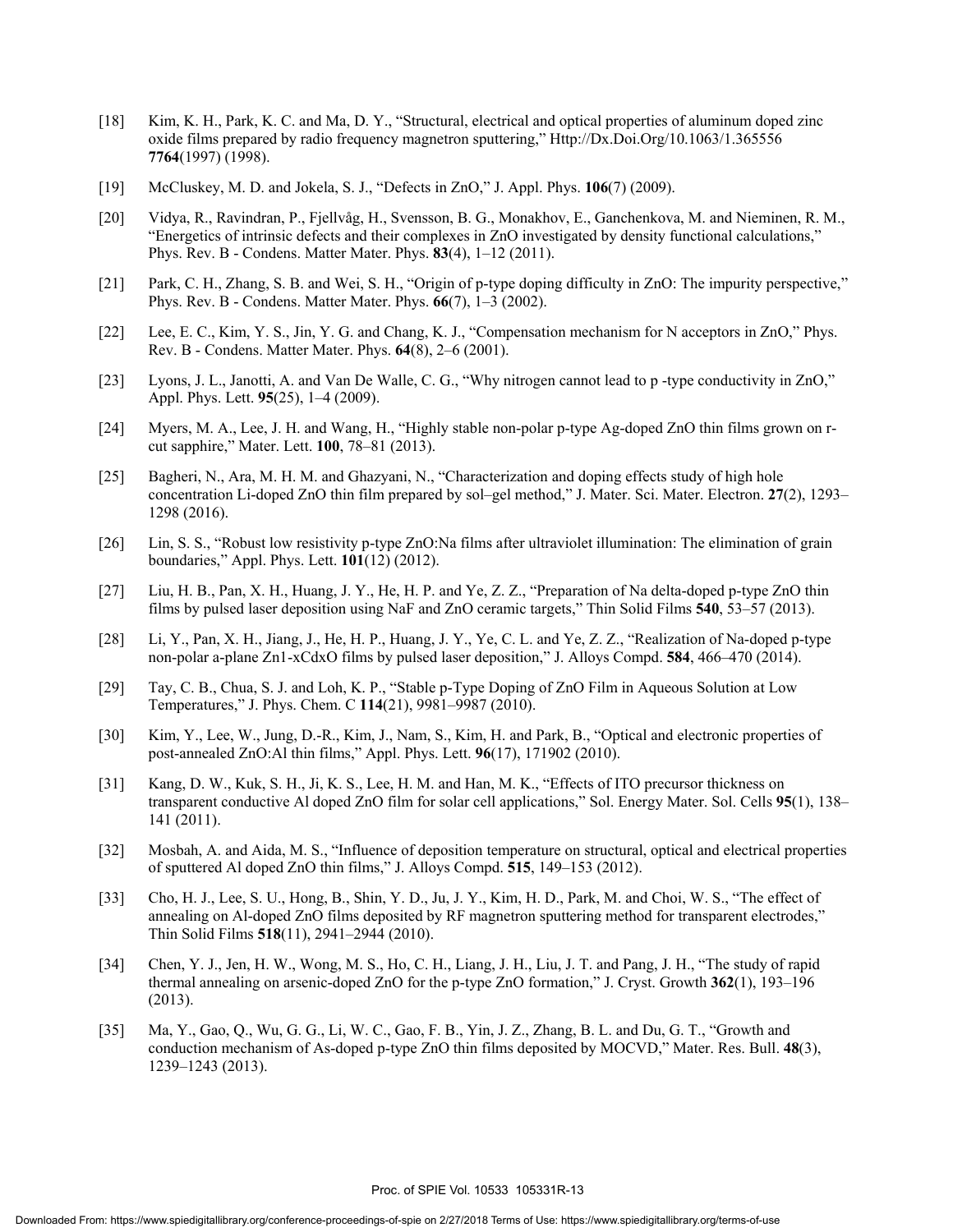- [18] Kim, K. H., Park, K. C. and Ma, D. Y., "Structural, electrical and optical properties of aluminum doped zinc oxide films prepared by radio frequency magnetron sputtering," Http://Dx.Doi.Org/10.1063/1.365556 **7764**(1997) (1998).
- [19] McCluskey, M. D. and Jokela, S. J., "Defects in ZnO," J. Appl. Phys. **106**(7) (2009).
- [20] Vidya, R., Ravindran, P., Fjellvåg, H., Svensson, B. G., Monakhov, E., Ganchenkova, M. and Nieminen, R. M., "Energetics of intrinsic defects and their complexes in ZnO investigated by density functional calculations," Phys. Rev. B - Condens. Matter Mater. Phys. **83**(4), 1–12 (2011).
- [21] Park, C. H., Zhang, S. B. and Wei, S. H., "Origin of p-type doping difficulty in ZnO: The impurity perspective," Phys. Rev. B - Condens. Matter Mater. Phys. **66**(7), 1–3 (2002).
- [22] Lee, E. C., Kim, Y. S., Jin, Y. G. and Chang, K. J., "Compensation mechanism for N acceptors in ZnO," Phys. Rev. B - Condens. Matter Mater. Phys. **64**(8), 2–6 (2001).
- [23] Lyons, J. L., Janotti, A. and Van De Walle, C. G., "Why nitrogen cannot lead to p -type conductivity in ZnO," Appl. Phys. Lett. **95**(25), 1–4 (2009).
- [24] Myers, M. A., Lee, J. H. and Wang, H., "Highly stable non-polar p-type Ag-doped ZnO thin films grown on rcut sapphire," Mater. Lett. **100**, 78–81 (2013).
- [25] Bagheri, N., Ara, M. H. M. and Ghazyani, N., "Characterization and doping effects study of high hole concentration Li-doped ZnO thin film prepared by sol–gel method," J. Mater. Sci. Mater. Electron. **27**(2), 1293– 1298 (2016).
- [26] Lin, S. S., "Robust low resistivity p-type ZnO:Na films after ultraviolet illumination: The elimination of grain boundaries," Appl. Phys. Lett. **101**(12) (2012).
- [27] Liu, H. B., Pan, X. H., Huang, J. Y., He, H. P. and Ye, Z. Z., "Preparation of Na delta-doped p-type ZnO thin films by pulsed laser deposition using NaF and ZnO ceramic targets," Thin Solid Films **540**, 53–57 (2013).
- [28] Li, Y., Pan, X. H., Jiang, J., He, H. P., Huang, J. Y., Ye, C. L. and Ye, Z. Z., "Realization of Na-doped p-type non-polar a-plane Zn1-xCdxO films by pulsed laser deposition," J. Alloys Compd. **584**, 466–470 (2014).
- [29] Tay, C. B., Chua, S. J. and Loh, K. P., "Stable p-Type Doping of ZnO Film in Aqueous Solution at Low Temperatures," J. Phys. Chem. C **114**(21), 9981–9987 (2010).
- [30] Kim, Y., Lee, W., Jung, D.-R., Kim, J., Nam, S., Kim, H. and Park, B., "Optical and electronic properties of post-annealed ZnO:Al thin films," Appl. Phys. Lett. **96**(17), 171902 (2010).
- [31] Kang, D. W., Kuk, S. H., Ji, K. S., Lee, H. M. and Han, M. K., "Effects of ITO precursor thickness on transparent conductive Al doped ZnO film for solar cell applications," Sol. Energy Mater. Sol. Cells **95**(1), 138– 141 (2011).
- [32] Mosbah, A. and Aida, M. S., "Influence of deposition temperature on structural, optical and electrical properties of sputtered Al doped ZnO thin films," J. Alloys Compd. **515**, 149–153 (2012).
- [33] Cho, H. J., Lee, S. U., Hong, B., Shin, Y. D., Ju, J. Y., Kim, H. D., Park, M. and Choi, W. S., "The effect of annealing on Al-doped ZnO films deposited by RF magnetron sputtering method for transparent electrodes," Thin Solid Films **518**(11), 2941–2944 (2010).
- [34] Chen, Y. J., Jen, H. W., Wong, M. S., Ho, C. H., Liang, J. H., Liu, J. T. and Pang, J. H., "The study of rapid thermal annealing on arsenic-doped ZnO for the p-type ZnO formation," J. Cryst. Growth **362**(1), 193–196 (2013).
- [35] Ma, Y., Gao, Q., Wu, G. G., Li, W. C., Gao, F. B., Yin, J. Z., Zhang, B. L. and Du, G. T., "Growth and conduction mechanism of As-doped p-type ZnO thin films deposited by MOCVD," Mater. Res. Bull. **48**(3), 1239–1243 (2013).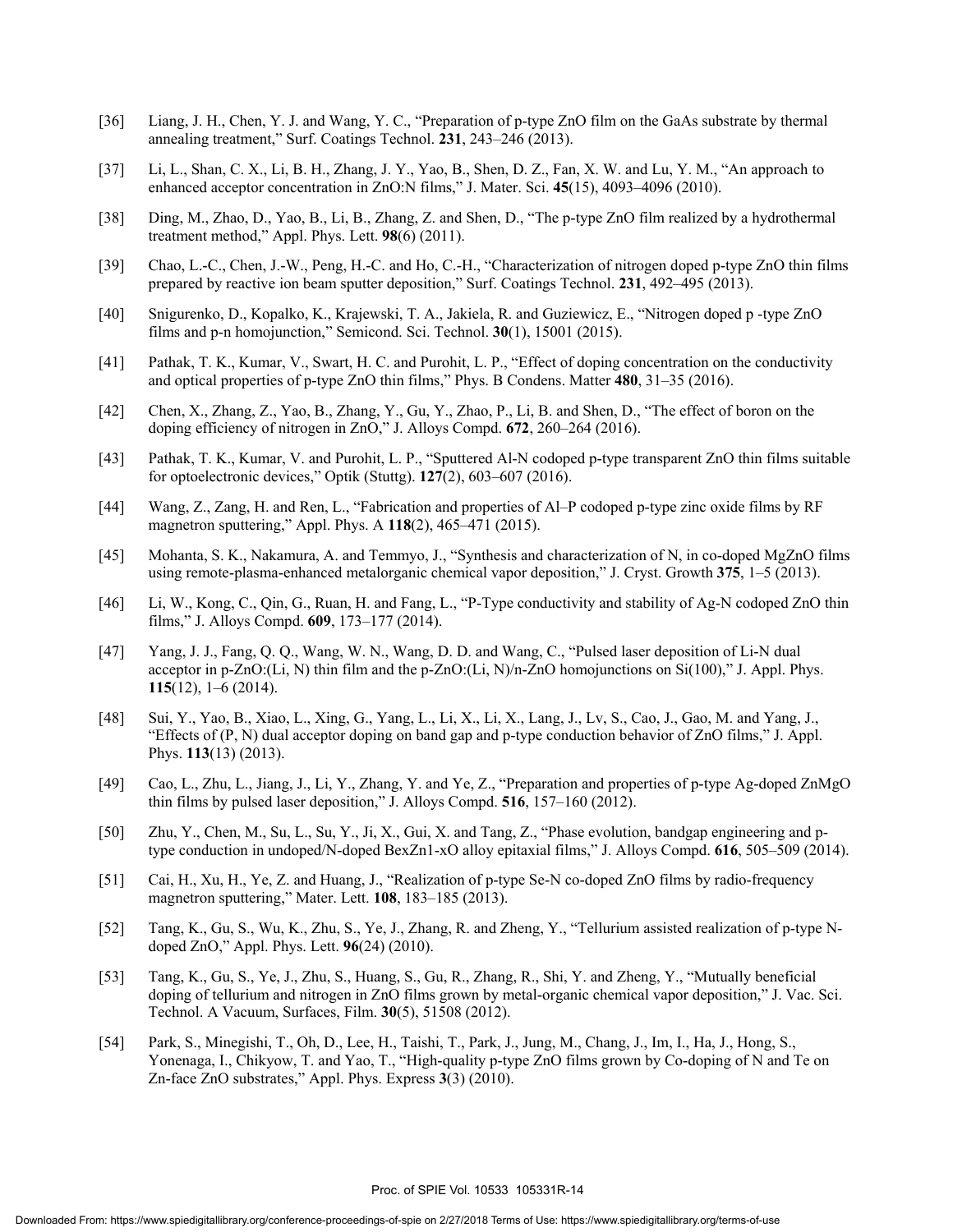- [36] Liang, J. H., Chen, Y. J. and Wang, Y. C., "Preparation of p-type ZnO film on the GaAs substrate by thermal annealing treatment," Surf. Coatings Technol. **231**, 243–246 (2013).
- [37] Li, L., Shan, C. X., Li, B. H., Zhang, J. Y., Yao, B., Shen, D. Z., Fan, X. W. and Lu, Y. M., "An approach to enhanced acceptor concentration in ZnO:N films," J. Mater. Sci. **45**(15), 4093–4096 (2010).
- [38] Ding, M., Zhao, D., Yao, B., Li, B., Zhang, Z. and Shen, D., "The p-type ZnO film realized by a hydrothermal treatment method," Appl. Phys. Lett. **98**(6) (2011).
- [39] Chao, L.-C., Chen, J.-W., Peng, H.-C. and Ho, C.-H., "Characterization of nitrogen doped p-type ZnO thin films prepared by reactive ion beam sputter deposition," Surf. Coatings Technol. **231**, 492–495 (2013).
- [40] Snigurenko, D., Kopalko, K., Krajewski, T. A., Jakiela, R. and Guziewicz, E., "Nitrogen doped p -type ZnO films and p-n homojunction," Semicond. Sci. Technol. **30**(1), 15001 (2015).
- [41] Pathak, T. K., Kumar, V., Swart, H. C. and Purohit, L. P., "Effect of doping concentration on the conductivity and optical properties of p-type ZnO thin films," Phys. B Condens. Matter **480**, 31–35 (2016).
- [42] Chen, X., Zhang, Z., Yao, B., Zhang, Y., Gu, Y., Zhao, P., Li, B. and Shen, D., "The effect of boron on the doping efficiency of nitrogen in ZnO," J. Alloys Compd. **672**, 260–264 (2016).
- [43] Pathak, T. K., Kumar, V. and Purohit, L. P., "Sputtered Al-N codoped p-type transparent ZnO thin films suitable for optoelectronic devices," Optik (Stuttg). **127**(2), 603–607 (2016).
- [44] Wang, Z., Zang, H. and Ren, L., "Fabrication and properties of Al–P codoped p-type zinc oxide films by RF magnetron sputtering," Appl. Phys. A **118**(2), 465–471 (2015).
- [45] Mohanta, S. K., Nakamura, A. and Temmyo, J., "Synthesis and characterization of N, in co-doped MgZnO films using remote-plasma-enhanced metalorganic chemical vapor deposition," J. Cryst. Growth **375**, 1–5 (2013).
- [46] Li, W., Kong, C., Qin, G., Ruan, H. and Fang, L., "P-Type conductivity and stability of Ag-N codoped ZnO thin films," J. Alloys Compd. **609**, 173–177 (2014).
- [47] Yang, J. J., Fang, Q. Q., Wang, W. N., Wang, D. D. and Wang, C., "Pulsed laser deposition of Li-N dual acceptor in p-ZnO: $(Li, N)$  thin film and the p-ZnO: $(Li, N)/n$ -ZnO homojunctions on Si(100)," J. Appl. Phys. **115**(12), 1–6 (2014).
- [48] Sui, Y., Yao, B., Xiao, L., Xing, G., Yang, L., Li, X., Li, X., Lang, J., Lv, S., Cao, J., Gao, M. and Yang, J., "Effects of (P, N) dual acceptor doping on band gap and p-type conduction behavior of ZnO films," J. Appl. Phys. **113**(13) (2013).
- [49] Cao, L., Zhu, L., Jiang, J., Li, Y., Zhang, Y. and Ye, Z., "Preparation and properties of p-type Ag-doped ZnMgO thin films by pulsed laser deposition," J. Alloys Compd. **516**, 157–160 (2012).
- [50] Zhu, Y., Chen, M., Su, L., Su, Y., Ji, X., Gui, X. and Tang, Z., "Phase evolution, bandgap engineering and ptype conduction in undoped/N-doped BexZn1-xO alloy epitaxial films," J. Alloys Compd. **616**, 505–509 (2014).
- [51] Cai, H., Xu, H., Ye, Z. and Huang, J., "Realization of p-type Se-N co-doped ZnO films by radio-frequency magnetron sputtering," Mater. Lett. **108**, 183–185 (2013).
- [52] Tang, K., Gu, S., Wu, K., Zhu, S., Ye, J., Zhang, R. and Zheng, Y., "Tellurium assisted realization of p-type Ndoped ZnO," Appl. Phys. Lett. **96**(24) (2010).
- [53] Tang, K., Gu, S., Ye, J., Zhu, S., Huang, S., Gu, R., Zhang, R., Shi, Y. and Zheng, Y., "Mutually beneficial doping of tellurium and nitrogen in ZnO films grown by metal-organic chemical vapor deposition," J. Vac. Sci. Technol. A Vacuum, Surfaces, Film. **30**(5), 51508 (2012).
- [54] Park, S., Minegishi, T., Oh, D., Lee, H., Taishi, T., Park, J., Jung, M., Chang, J., Im, I., Ha, J., Hong, S., Yonenaga, I., Chikyow, T. and Yao, T., "High-quality p-type ZnO films grown by Co-doping of N and Te on Zn-face ZnO substrates," Appl. Phys. Express **3**(3) (2010).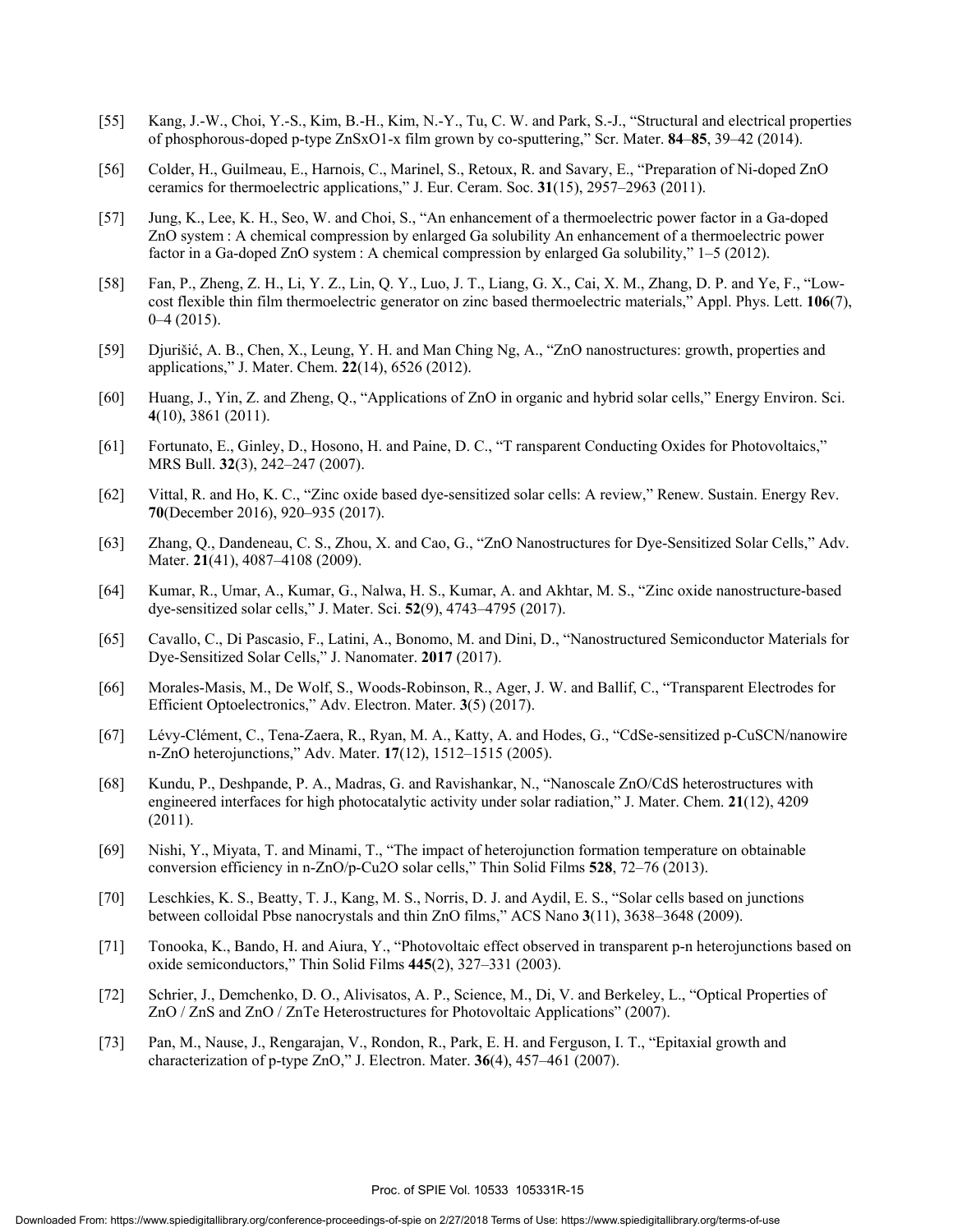- [55] Kang, J.-W., Choi, Y.-S., Kim, B.-H., Kim, N.-Y., Tu, C. W. and Park, S.-J., "Structural and electrical properties of phosphorous-doped p-type ZnSxO1-x film grown by co-sputtering," Scr. Mater. **84**–**85**, 39–42 (2014).
- [56] Colder, H., Guilmeau, E., Harnois, C., Marinel, S., Retoux, R. and Savary, E., "Preparation of Ni-doped ZnO ceramics for thermoelectric applications," J. Eur. Ceram. Soc. **31**(15), 2957–2963 (2011).
- [57] Jung, K., Lee, K. H., Seo, W. and Choi, S., "An enhancement of a thermoelectric power factor in a Ga-doped ZnO system : A chemical compression by enlarged Ga solubility An enhancement of a thermoelectric power factor in a Ga-doped ZnO system : A chemical compression by enlarged Ga solubility," 1–5 (2012).
- [58] Fan, P., Zheng, Z. H., Li, Y. Z., Lin, Q. Y., Luo, J. T., Liang, G. X., Cai, X. M., Zhang, D. P. and Ye, F., "Lowcost flexible thin film thermoelectric generator on zinc based thermoelectric materials," Appl. Phys. Lett. **106**(7), 0–4 (2015).
- [59] Djurišić, A. B., Chen, X., Leung, Y. H. and Man Ching Ng, A., "ZnO nanostructures: growth, properties and applications," J. Mater. Chem. **22**(14), 6526 (2012).
- [60] Huang, J., Yin, Z. and Zheng, Q., "Applications of ZnO in organic and hybrid solar cells," Energy Environ. Sci. **4**(10), 3861 (2011).
- [61] Fortunato, E., Ginley, D., Hosono, H. and Paine, D. C., "T ransparent Conducting Oxides for Photovoltaics," MRS Bull. **32**(3), 242–247 (2007).
- [62] Vittal, R. and Ho, K. C., "Zinc oxide based dye-sensitized solar cells: A review," Renew. Sustain. Energy Rev. **70**(December 2016), 920–935 (2017).
- [63] Zhang, Q., Dandeneau, C. S., Zhou, X. and Cao, G., "ZnO Nanostructures for Dye-Sensitized Solar Cells," Adv. Mater. **21**(41), 4087–4108 (2009).
- [64] Kumar, R., Umar, A., Kumar, G., Nalwa, H. S., Kumar, A. and Akhtar, M. S., "Zinc oxide nanostructure-based dye-sensitized solar cells," J. Mater. Sci. **52**(9), 4743–4795 (2017).
- [65] Cavallo, C., Di Pascasio, F., Latini, A., Bonomo, M. and Dini, D., "Nanostructured Semiconductor Materials for Dye-Sensitized Solar Cells," J. Nanomater. **2017** (2017).
- [66] Morales-Masis, M., De Wolf, S., Woods-Robinson, R., Ager, J. W. and Ballif, C., "Transparent Electrodes for Efficient Optoelectronics," Adv. Electron. Mater. **3**(5) (2017).
- [67] Lévy-Clément, C., Tena-Zaera, R., Ryan, M. A., Katty, A. and Hodes, G., "CdSe-sensitized p-CuSCN/nanowire n-ZnO heterojunctions," Adv. Mater. **17**(12), 1512–1515 (2005).
- [68] Kundu, P., Deshpande, P. A., Madras, G. and Ravishankar, N., "Nanoscale ZnO/CdS heterostructures with engineered interfaces for high photocatalytic activity under solar radiation," J. Mater. Chem. **21**(12), 4209 (2011).
- [69] Nishi, Y., Miyata, T. and Minami, T., "The impact of heterojunction formation temperature on obtainable conversion efficiency in n-ZnO/p-Cu2O solar cells," Thin Solid Films **528**, 72–76 (2013).
- [70] Leschkies, K. S., Beatty, T. J., Kang, M. S., Norris, D. J. and Aydil, E. S., "Solar cells based on junctions between colloidal Pbse nanocrystals and thin ZnO films," ACS Nano **3**(11), 3638–3648 (2009).
- [71] Tonooka, K., Bando, H. and Aiura, Y., "Photovoltaic effect observed in transparent p-n heterojunctions based on oxide semiconductors," Thin Solid Films **445**(2), 327–331 (2003).
- [72] Schrier, J., Demchenko, D. O., Alivisatos, A. P., Science, M., Di, V. and Berkeley, L., "Optical Properties of ZnO / ZnS and ZnO / ZnTe Heterostructures for Photovoltaic Applications" (2007).
- [73] Pan, M., Nause, J., Rengarajan, V., Rondon, R., Park, E. H. and Ferguson, I. T., "Epitaxial growth and characterization of p-type ZnO," J. Electron. Mater. **36**(4), 457–461 (2007).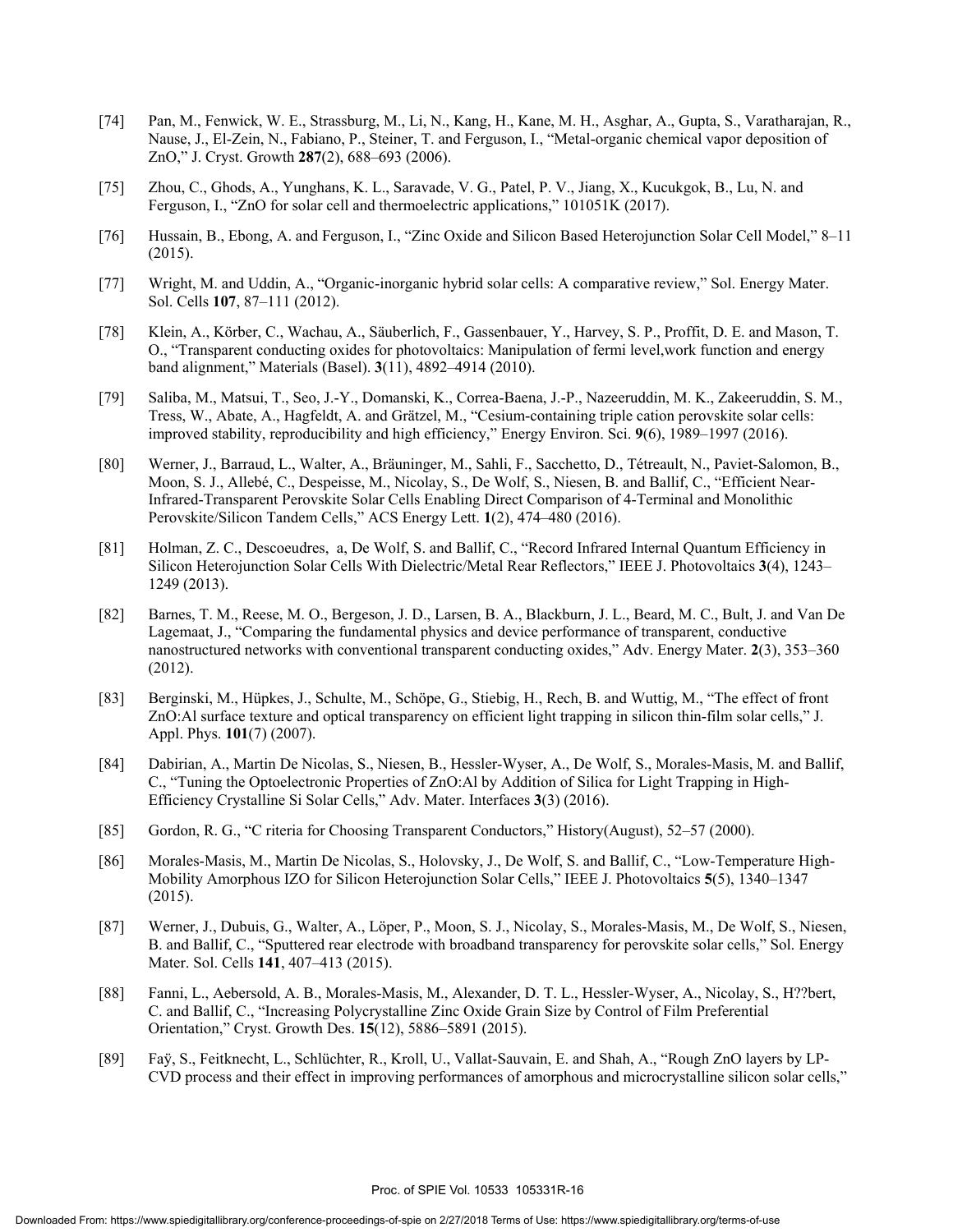- [74] Pan, M., Fenwick, W. E., Strassburg, M., Li, N., Kang, H., Kane, M. H., Asghar, A., Gupta, S., Varatharajan, R., Nause, J., El-Zein, N., Fabiano, P., Steiner, T. and Ferguson, I., "Metal-organic chemical vapor deposition of ZnO," J. Cryst. Growth **287**(2), 688–693 (2006).
- [75] Zhou, C., Ghods, A., Yunghans, K. L., Saravade, V. G., Patel, P. V., Jiang, X., Kucukgok, B., Lu, N. and Ferguson, I., "ZnO for solar cell and thermoelectric applications," 101051K (2017).
- [76] Hussain, B., Ebong, A. and Ferguson, I., "Zinc Oxide and Silicon Based Heterojunction Solar Cell Model," 8–11 (2015).
- [77] Wright, M. and Uddin, A., "Organic-inorganic hybrid solar cells: A comparative review," Sol. Energy Mater. Sol. Cells **107**, 87–111 (2012).
- [78] Klein, A., Körber, C., Wachau, A., Säuberlich, F., Gassenbauer, Y., Harvey, S. P., Proffit, D. E. and Mason, T. O., "Transparent conducting oxides for photovoltaics: Manipulation of fermi level,work function and energy band alignment," Materials (Basel). **3**(11), 4892–4914 (2010).
- [79] Saliba, M., Matsui, T., Seo, J.-Y., Domanski, K., Correa-Baena, J.-P., Nazeeruddin, M. K., Zakeeruddin, S. M., Tress, W., Abate, A., Hagfeldt, A. and Grätzel, M., "Cesium-containing triple cation perovskite solar cells: improved stability, reproducibility and high efficiency," Energy Environ. Sci. **9**(6), 1989–1997 (2016).
- [80] Werner, J., Barraud, L., Walter, A., Bräuninger, M., Sahli, F., Sacchetto, D., Tétreault, N., Paviet-Salomon, B., Moon, S. J., Allebé, C., Despeisse, M., Nicolay, S., De Wolf, S., Niesen, B. and Ballif, C., "Efficient Near-Infrared-Transparent Perovskite Solar Cells Enabling Direct Comparison of 4-Terminal and Monolithic Perovskite/Silicon Tandem Cells," ACS Energy Lett. **1**(2), 474–480 (2016).
- [81] Holman, Z. C., Descoeudres, a, De Wolf, S. and Ballif, C., "Record Infrared Internal Quantum Efficiency in Silicon Heterojunction Solar Cells With Dielectric/Metal Rear Reflectors," IEEE J. Photovoltaics **3**(4), 1243– 1249 (2013).
- [82] Barnes, T. M., Reese, M. O., Bergeson, J. D., Larsen, B. A., Blackburn, J. L., Beard, M. C., Bult, J. and Van De Lagemaat, J., "Comparing the fundamental physics and device performance of transparent, conductive nanostructured networks with conventional transparent conducting oxides," Adv. Energy Mater. **2**(3), 353–360 (2012).
- [83] Berginski, M., Hüpkes, J., Schulte, M., Schöpe, G., Stiebig, H., Rech, B. and Wuttig, M., "The effect of front ZnO:Al surface texture and optical transparency on efficient light trapping in silicon thin-film solar cells," J. Appl. Phys. **101**(7) (2007).
- [84] Dabirian, A., Martin De Nicolas, S., Niesen, B., Hessler-Wyser, A., De Wolf, S., Morales-Masis, M. and Ballif, C., "Tuning the Optoelectronic Properties of ZnO:Al by Addition of Silica for Light Trapping in High-Efficiency Crystalline Si Solar Cells," Adv. Mater. Interfaces **3**(3) (2016).
- [85] Gordon, R. G., "C riteria for Choosing Transparent Conductors," History(August), 52–57 (2000).
- [86] Morales-Masis, M., Martin De Nicolas, S., Holovsky, J., De Wolf, S. and Ballif, C., "Low-Temperature High-Mobility Amorphous IZO for Silicon Heterojunction Solar Cells," IEEE J. Photovoltaics **5**(5), 1340–1347 (2015).
- [87] Werner, J., Dubuis, G., Walter, A., Löper, P., Moon, S. J., Nicolay, S., Morales-Masis, M., De Wolf, S., Niesen, B. and Ballif, C., "Sputtered rear electrode with broadband transparency for perovskite solar cells," Sol. Energy Mater. Sol. Cells **141**, 407–413 (2015).
- [88] Fanni, L., Aebersold, A. B., Morales-Masis, M., Alexander, D. T. L., Hessler-Wyser, A., Nicolay, S., H??bert, C. and Ballif, C., "Increasing Polycrystalline Zinc Oxide Grain Size by Control of Film Preferential Orientation," Cryst. Growth Des. **15**(12), 5886–5891 (2015).
- [89] Faÿ, S., Feitknecht, L., Schlüchter, R., Kroll, U., Vallat-Sauvain, E. and Shah, A., "Rough ZnO layers by LP-CVD process and their effect in improving performances of amorphous and microcrystalline silicon solar cells,"